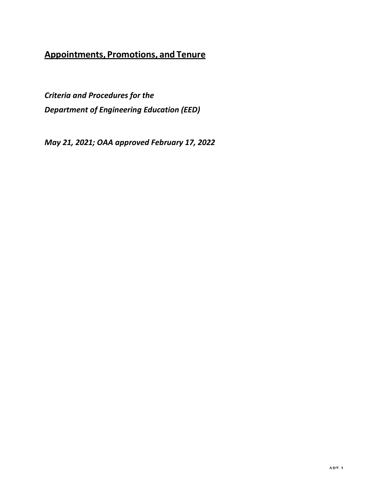# **Appointments, Promotions, and Tenure**

*Criteria and Procedures for the Department of Engineering Education (EED)*

*May 21, 2021; OAA approved February 17, 2022*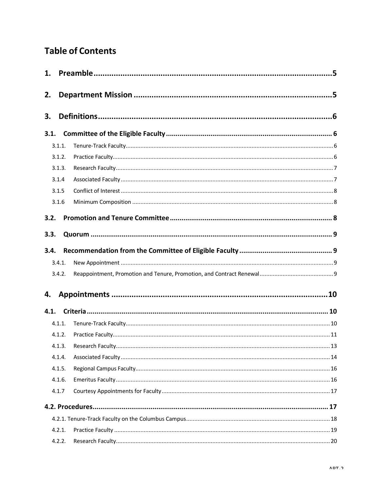# **Table of Contents**

| 1.   |        |  |
|------|--------|--|
| 2.   |        |  |
| 3.   |        |  |
| 3.1. |        |  |
|      | 3.1.1. |  |
|      | 3.1.2. |  |
|      | 3.1.3. |  |
|      | 3.1.4  |  |
|      | 3.1.5  |  |
|      | 3.1.6  |  |
| 3.2. |        |  |
|      |        |  |
| 3.3. |        |  |
| 3.4. |        |  |
|      | 3.4.1. |  |
|      | 3.4.2. |  |
|      |        |  |
| 4.   |        |  |
| 4.1. |        |  |
|      | 4.1.1. |  |
|      | 4.1.2. |  |
|      |        |  |
|      | 4.1.4. |  |
|      | 4.1.5. |  |
|      | 4.1.6. |  |
|      | 4.1.7  |  |
|      |        |  |
|      |        |  |
|      | 4.2.1. |  |
|      | 4.2.2. |  |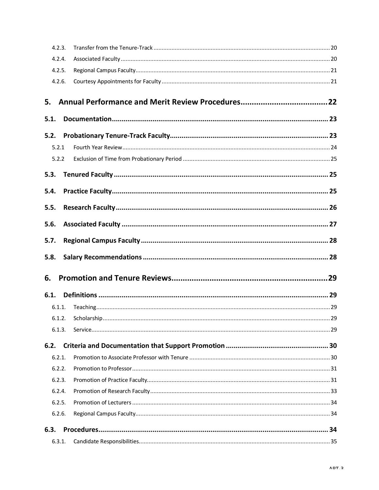| 4.2.3. |  |    |
|--------|--|----|
| 4.2.4. |  |    |
| 4.2.5. |  |    |
| 4.2.6. |  |    |
| 5.     |  |    |
| 5.1.   |  |    |
| 5.2.   |  |    |
| 5.2.1  |  |    |
| 5.2.2  |  |    |
| 5.3.   |  |    |
| 5.4.   |  |    |
| 5.5.   |  |    |
| 5.6.   |  |    |
| 5.7.   |  |    |
| 5.8.   |  |    |
| 6.     |  |    |
| 6.1.   |  |    |
| 6.1.1. |  |    |
|        |  | 29 |
| 6.1.3. |  |    |
| 6.2.   |  |    |
| 6.2.1. |  |    |
| 6.2.2. |  |    |
| 6.2.3. |  |    |
| 6.2.4. |  |    |
| 6.2.5. |  |    |
| 6.2.6. |  |    |
| 6.3.   |  |    |
| 6.3.1. |  |    |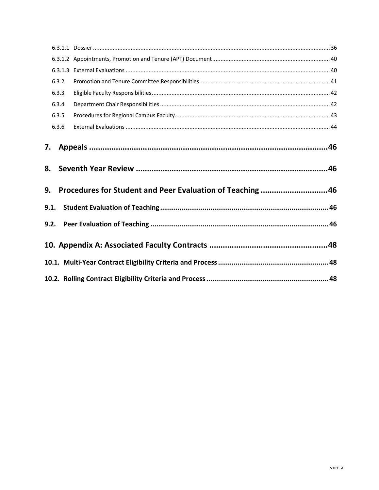| 6.3.2.                                          |                                                            |  |  |  |
|-------------------------------------------------|------------------------------------------------------------|--|--|--|
| 6.3.3.                                          |                                                            |  |  |  |
| 6.3.4.                                          |                                                            |  |  |  |
| 6.3.5.                                          |                                                            |  |  |  |
| 6.3.6.                                          |                                                            |  |  |  |
| 7. Appeals …………………………………………………………………………………………46 |                                                            |  |  |  |
|                                                 |                                                            |  |  |  |
| 8.<br>9.                                        | Procedures for Student and Peer Evaluation of Teaching  46 |  |  |  |
| 9.1.                                            |                                                            |  |  |  |
|                                                 |                                                            |  |  |  |
|                                                 |                                                            |  |  |  |
|                                                 |                                                            |  |  |  |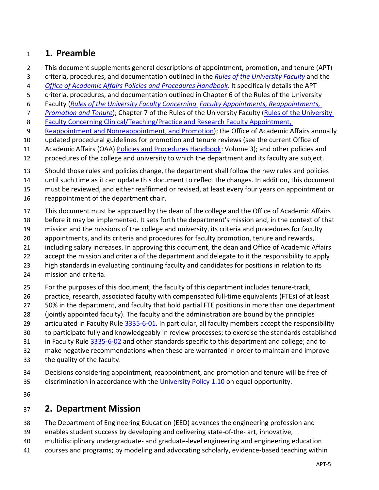# <span id="page-4-0"></span>**1. Preamble**

- This document supplements general descriptions of appointment, promotion, and tenure (APT)
- criteria, procedures, and documentation outlined in the *[Rules of the University Faculty](https://trustees.osu.edu/bylaws-and-rules/university-faculty-rules)* and the
- *[Office of Academic Affairs Policies and Procedures Handbook](https://oaa.osu.edu/policies-and-procedures-handbook)*. It specifically details the APT
- criteria, procedures, and documentation outlined in Chapter 6 of the Rules of the University
- Faculty (*[Rules of the University Faculty Concerning Faculty Appointments, Reappointments,](http://trustees.osu.edu/rules/university-rules/chapter-3335-6-rules-of-the-university-faculty-concerning-faculty-appointments-reappointments-promotion-and-tenure.html)*
- *[Promotion and Tenure](http://trustees.osu.edu/rules/university-rules/chapter-3335-6-rules-of-the-university-faculty-concerning-faculty-appointments-reappointments-promotion-and-tenure.html)*); Chapter 7 of the Rules of the University Faculty [\(Rules of the University](https://trustees.osu.edu/university-faculty-rules/3335-7)
- [Faculty Concerning Clinical/Teaching/Practice and Research](https://trustees.osu.edu/university-faculty-rules/3335-7) Faculty Appointment,
- [Reappointment and Nonreappointment, and Promotion\)](https://trustees.osu.edu/university-faculty-rules/3335-7); the Office of Academic Affairs annually
- updated procedural guidelines for promotion and tenure reviews (see the current Office of
- Academic Affairs (OAA) [Policies and Procedures Handbook:](https://oaa.osu.edu/policies-and-procedures-handbook) Volume 3); and other policies and
- procedures of the college and university to which the department and its faculty are subject.
- Should those rules and policies change, the department shall follow the new rules and policies
- until such time as it can update this document to reflect the changes. In addition, this document
- must be reviewed, and either reaffirmed or revised, at least every four years on appointment or
- reappointment of the department chair.
- This document must be approved by the dean of the college and the Office of Academic Affairs
- before it may be implemented. It sets forth the department's mission and, in the context of that
- mission and the missions of the college and university, its criteria and procedures for faculty
- appointments, and its criteria and procedures for faculty promotion, tenure and rewards,
- including salary increases. In approving this document, the dean and Office of Academic Affairs
- 22 accept the mission and criteria of the department and delegate to it the responsibility to apply
- high standards in evaluating continuing faculty and candidates for positions in relation to its
- mission and criteria.
- For the purposes of this document, the faculty of this department includes tenure-track,
- practice, research, associated faculty with compensated full-time equivalents (FTEs) of at least
- 50% in the department, and faculty that hold partial FTE positions in more than one department
- (jointly appointed faculty). The faculty and the administration are bound by the principles
- 29 articulated in Faculty Rule [3335-6-01.](https://trustees.osu.edu/bylaws-and-rules/3335-6) In particular, all faculty members accept the responsibility
- to participate fully and knowledgeably in review processes; to exercise the standards established
- in Faculty Rule [3335-6-02](https://trustees.osu.edu/bylaws-and-rules/3335-6) and other standards specific to this department and college; and to
- make negative recommendations when these are warranted in order to maintain and improve
- the quality of the faculty.
- Decisions considering appointment, reappointment, and promotion and tenure will be free of
- discrimination in accordance with the [University Policy 1.10 o](https://hr.osu.edu/public/documents/policy/policy110.pdf)n equal opportunity.
- 

# <span id="page-4-1"></span>**2. Department Mission**

- The Department of Engineering Education (EED) advances the engineering profession and
- enables student success by developing and delivering state-of-the- art, innovative,
- multidisciplinary undergraduate- and graduate-level engineering and engineering education
- courses and programs; by modeling and advocating scholarly, evidence-based teaching within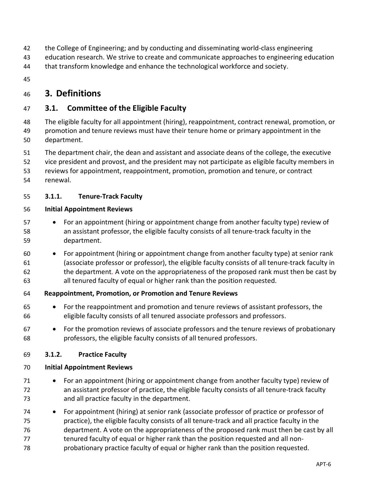- the College of Engineering; and by conducting and disseminating world-class engineering
- education research. We strive to create and communicate approaches to engineering education
- that transform knowledge and enhance the technological workforce and society.
- 

# <span id="page-5-0"></span>**3. Definitions**

### <span id="page-5-1"></span>**3.1. Committee of the Eligible Faculty**

- The eligible faculty for all appointment (hiring), reappointment, contract renewal, promotion, or promotion and tenure reviews must have their tenure home or primary appointment in the department.
- The department chair, the dean and assistant and associate deans of the college, the executive
- vice president and provost, and the president may not participate as eligible faculty members in
- reviews for appointment, reappointment, promotion, promotion and tenure, or contract
- <span id="page-5-2"></span>renewal.

### **3.1.1. Tenure-Track Faculty**

### **Initial Appointment Reviews**

- For an appointment (hiring or appointment change from another faculty type) review of an assistant professor, the eligible faculty consists of all tenure-track faculty in the department.
- For appointment (hiring or appointment change from another faculty type) at senior rank (associate professor or professor), the eligible faculty consists of all tenure-track faculty in the department*.* A vote on the appropriateness of the proposed rank must then be cast by all tenured faculty of equal or higher rank than the position requested.

### **Reappointment, Promotion, or Promotion and Tenure Reviews**

- For the reappointment and promotion and tenure reviews of assistant professors, the eligible faculty consists of all tenured associate professors and professors.
- For the promotion reviews of associate professors and the tenure reviews of probationary professors, the eligible faculty consists of all tenured professors.

### <span id="page-5-3"></span>**3.1.2. Practice Faculty**

### **Initial Appointment Reviews**

- For an appointment (hiring or appointment change from another faculty type) review of an assistant professor of practice, the eligible faculty consists of all tenure-track faculty and all practice faculty in the department.
- For appointment (hiring) at senior rank (associate professor of practice or professor of practice), the eligible faculty consists of all tenure-track and all practice faculty in the department. A vote on the appropriateness of the proposed rank must then be cast by all 77 tenured faculty of equal or higher rank than the position requested and all non-probationary practice faculty of equal or higher rank than the position requested.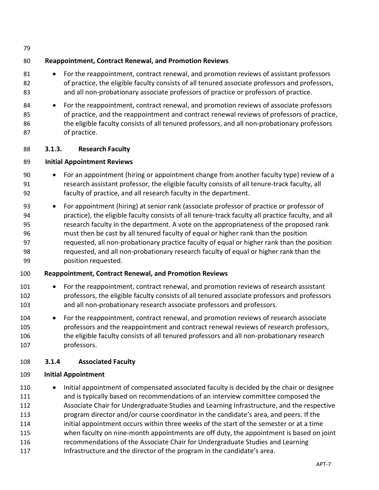### **Reappointment, Contract Renewal, and Promotion Reviews**

- 81 For the reappointment, contract renewal, and promotion reviews of assistant professors of practice, the eligible faculty consists of all tenured associate professors and professors, and all non-probationary associate professors of practice or professors of practice.
- 84 For the reappointment, contract renewal, and promotion reviews of associate professors of practice, and the reappointment and contract renewal reviews of professors of practice, 86 the eligible faculty consists of all tenured professors, and all non-probationary professors of practice.

### <span id="page-6-0"></span>**3.1.3. Research Faculty**

### **Initial Appointment Reviews**

- For an appointment (hiring or appointment change from another faculty type) review of a research assistant professor, the eligible faculty consists of all tenure-track faculty, all faculty of practice, and all research faculty in the department.
- For appointment (hiring) at senior rank (associate professor of practice or professor of practice), the eligible faculty consists of all tenure-track faculty all practice faculty, and all research faculty in the department. A vote on the appropriateness of the proposed rank must then be cast by all tenured faculty of equal or higher rank than the position requested, all non-probationary practice faculty of equal or higher rank than the position requested, and all non-probationary research faculty of equal or higher rank than the position requested.

### **Reappointment, Contract Renewal, and Promotion Reviews**

- 101 For the reappointment, contract renewal, and promotion reviews of research assistant professors, the eligible faculty consists of all tenured associate professors and professors and all non-probationary research associate professors and professors.
- For the reappointment, contract renewal, and promotion reviews of research associate professors and the reappointment and contract renewal reviews of research professors, the eligible faculty consists of all tenured professors and all non-probationary research professors.

### <span id="page-6-1"></span>**3.1.4 Associated Faculty**

### **Initial Appointment**

110 • Initial appointment of compensated associated faculty is decided by the chair or designee and is typically based on recommendations of an interview committee composed the Associate Chair for Undergraduate Studies and Learning Infrastructure, and the respective program director and/or course coordinator in the candidate's area, and peers. If the initial appointment occurs within three weeks of the start of the semester or at a time when faculty on nine-month appointments are off duty, the appointment is based on joint recommendations of the Associate Chair for Undergraduate Studies and Learning 117 Infrastructure and the director of the program in the candidate's area.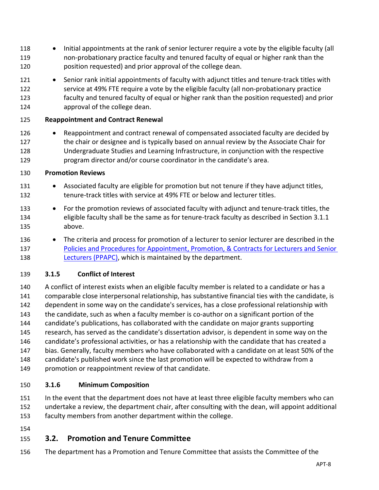- Initial appointments at the rank of senior lecturer require a vote by the eligible faculty (all non-probationary practice faculty and tenured faculty of equal or higher rank than the position requested) and prior approval of the college dean.
- 121 Senior rank initial appointments of faculty with adjunct titles and tenure-track titles with service at 49% FTE require a vote by the eligible faculty (all non-probationary practice faculty and tenured faculty of equal or higher rank than the position requested) and prior approval of the college dean.

### **Reappointment and Contract Renewal**

126 • Reappointment and contract renewal of compensated associated faculty are decided by 127 the chair or designee and is typically based on annual review by the Associate Chair for Undergraduate Studies and Learning Infrastructure, in conjunction with the respective program director and/or course coordinator in the candidate's area.

### **Promotion Reviews**

- 131 Associated faculty are eligible for promotion but not tenure if they have adjunct titles, 132 tenure-track titles with service at 49% FTE or below and lecturer titles.
- For the promotion reviews of associated faculty with adjunct and tenure-track titles, the eligible faculty shall be the same as for tenure-track faculty as described in Section 3.1.1 above.
- The criteria and process for promotion of a lecturer to senior lecturer are described in the [Policies and Procedures for Appointment, Promotion, & Contracts for Lecturers and Senior](https://buckeyemailosu.sharepoint.com/sites/ENG-EED/Shared%20Documents/Forms/AllItems.aspx?id=%2Fsites%2FENG%2DEED%2FShared%20Documents%2FGeneral%2FLatest%20Governance%20Documents%2FEED%20Lecturer%20Supplement%20%28PPAPC%29%5FApproved%202021%2D04%2D22%2Epdf&parent=%2Fsites%2FENG%2DEED%2FShared%20Documents%2FGeneral%2FLatest%20Governance%20Documents&p=true)  [Lecturers](https://buckeyemailosu.sharepoint.com/sites/ENG-EED/Shared%20Documents/Forms/AllItems.aspx?id=%2Fsites%2FENG%2DEED%2FShared%20Documents%2FGeneral%2FLatest%20Governance%20Documents%2FEED%20Lecturer%20Supplement%20%28PPAPC%29%5FApproved%202021%2D04%2D22%2Epdf&parent=%2Fsites%2FENG%2DEED%2FShared%20Documents%2FGeneral%2FLatest%20Governance%20Documents&p=true) (PPAPC), which is maintained by the department.

### <span id="page-7-0"></span>**3.1.5 Conflict of Interest**

 A conflict of interest exists when an eligible faculty member is related to a candidate or has a comparable close interpersonal relationship, has substantive financial ties with the candidate, is dependent in some way on the candidate's services, has a close professional relationship with the candidate, such as when a faculty member is co-author on a significant portion of the candidate's publications, has collaborated with the candidate on major grants supporting research, has served as the candidate's dissertation advisor, is dependent in some way on the candidate's professional activities, or has a relationship with the candidate that has created a bias. Generally, faculty members who have collaborated with a candidate on at least 50% of the candidate's published work since the last promotion will be expected to withdraw from a promotion or reappointment review of that candidate.

### <span id="page-7-1"></span>**3.1.6 Minimum Composition**

 In the event that the department does not have at least three eligible faculty members who can undertake a review, the department chair, after consulting with the dean, will appoint additional

- faculty members from another department within the college.
- 

# <span id="page-7-2"></span>**3.2. Promotion and Tenure Committee**

The department has a Promotion and Tenure Committee that assists the Committee of the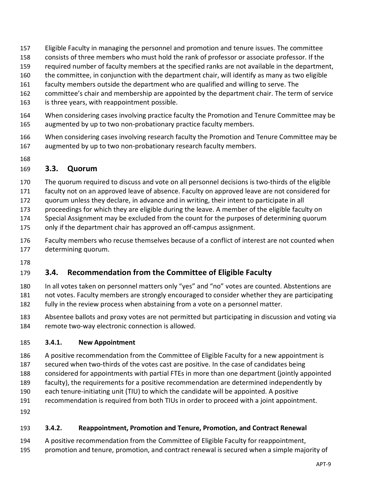- Eligible Faculty in managing the personnel and promotion and tenure issues. The committee
- consists of three members who must hold the rank of professor or associate professor. If the
- required number of faculty members at the specified ranks are not available in the department,
- the committee, in conjunction with the department chair, will identify as many as two eligible
- faculty members outside the department who are qualified and willing to serve. The
- committee's chair and membership are appointed by the department chair. The term of service
- is three years, with reappointment possible.
- When considering cases involving practice faculty the Promotion and Tenure Committee may be augmented by up to two non-probationary practice faculty members.
- When considering cases involving research faculty the Promotion and Tenure Committee may be augmented by up to two non-probationary research faculty members.
- 

### <span id="page-8-0"></span>**3.3. Quorum**

- The quorum required to discuss and vote on all personnel decisions is two-thirds of the eligible
- faculty not on an approved leave of absence. Faculty on approved leave are not considered for
- quorum unless they declare, in advance and in writing, their intent to participate in all
- proceedings for which they are eligible during the leave. A member of the eligible faculty on
- Special Assignment may be excluded from the count for the purposes of determining quorum
- only if the department chair has approved an off-campus assignment.
- Faculty members who recuse themselves because of a conflict of interest are not counted when determining quorum.
- 

# <span id="page-8-1"></span>**3.4. Recommendation from the Committee of Eligible Faculty**

- In all votes taken on personnel matters only "yes" and "no" votes are counted. Abstentions are not votes. Faculty members are strongly encouraged to consider whether they are participating fully in the review process when abstaining from a vote on a personnel matter.
- Absentee ballots and proxy votes are not permitted but participating in discussion and voting via remote two-way electronic connection is allowed.

### <span id="page-8-2"></span>**3.4.1. New Appointment**

- A positive recommendation from the Committee of Eligible Faculty for a new appointment is
- secured when two-thirds of the votes cast are positive. In the case of candidates being
- considered for appointments with partial FTEs in more than one department (jointly appointed faculty), the requirements for a positive recommendation are determined independently by
- each tenure-initiating unit (TIU) to which the candidate will be appointed. A positive
- recommendation is required from both TIUs in order to proceed with a joint appointment.
- 

### <span id="page-8-3"></span>**3.4.2. Reappointment, Promotion and Tenure, Promotion, and Contract Renewal**

- A positive recommendation from the Committee of Eligible Faculty for reappointment,
- promotion and tenure, promotion, and contract renewal is secured when a simple majority of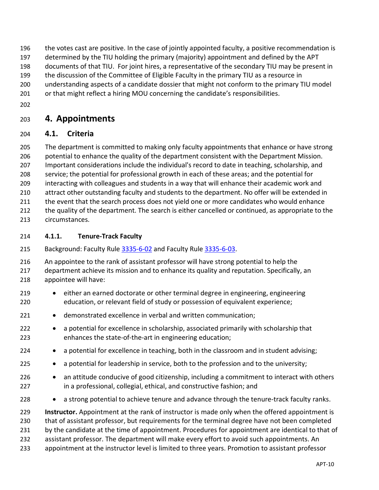- the votes cast are positive. In the case of jointly appointed faculty, a positive recommendation is
- determined by the TIU holding the primary (majority) appointment and defined by the APT
- documents of that TIU. For joint hires, a representative of the secondary TIU may be present in
- the discussion of the Committee of Eligible Faculty in the primary TIU as a resource in
- understanding aspects of a candidate dossier that might not conform to the primary TIU model
- 201 or that might reflect a hiring MOU concerning the candidate's responsibilities.
- 

# <span id="page-9-0"></span>**4. Appointments**

### <span id="page-9-1"></span>**4.1. Criteria**

 The department is committed to making only faculty appointments that enhance or have strong potential to enhance the quality of the department consistent with the Department Mission. Important considerations include the individual's record to date in teaching, scholarship, and service; the potential for professional growth in each of these areas; and the potential for interacting with colleagues and students in a way that will enhance their academic work and

- attract other outstanding faculty and students to the department. No offer will be extended in
- 211 the event that the search process does not yield one or more candidates who would enhance
- the quality of the department. The search is either cancelled or continued, as appropriate to the circumstances.
- <span id="page-9-2"></span>**4.1.1. Tenure-Track Faculty**
- Background: Faculty Rule [3335-6-02](https://trustees.osu.edu/university-faculty-rules/3335-6) and Faculty Rule [3335-6-03.](https://trustees.osu.edu/university-faculty-rules/3335-6)
- An appointee to the rank of assistant professor will have strong potential to help the
- 217 department achieve its mission and to enhance its quality and reputation. Specifically, an appointee will have:
- either an earned doctorate or other terminal degree in engineering, engineering education, or relevant field of study or possession of equivalent experience;
- demonstrated excellence in verbal and written communication;
- a potential for excellence in scholarship, associated primarily with scholarship that enhances the state-of-the-art in engineering education;
- 224 a potential for excellence in teaching, both in the classroom and in student advising;
- a potential for leadership in service, both to the profession and to the university;
- 226 an attitude conducive of good citizenship, including a commitment to interact with others in a professional, collegial, ethical, and constructive fashion; and
- 228 a strong potential to achieve tenure and advance through the tenure-track faculty ranks.

 **Instructor.** Appointment at the rank of instructor is made only when the offered appointment is that of assistant professor, but requirements for the terminal degree have not been completed by the candidate at the time of appointment. Procedures for appointment are identical to that of assistant professor. The department will make every effort to avoid such appointments. An appointment at the instructor level is limited to three years. Promotion to assistant professor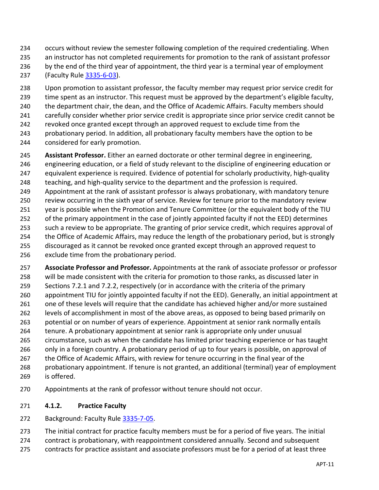- occurs without review the semester following completion of the required credentialing. When
- an instructor has not completed requirements for promotion to the rank of assistant professor
- 236 by the end of the third year of appointment, the third year is a terminal year of employment (Faculty Rule [3335-6-03\)](https://trustees.osu.edu/bylaws-and-rules/3335-6).
- Upon promotion to assistant professor, the faculty member may request prior service credit for 239 time spent as an instructor. This request must be approved by the department's eligible faculty, the department chair, the dean, and the Office of Academic Affairs. Faculty members should carefully consider whether prior service credit is appropriate since prior service credit cannot be revoked once granted except through an approved request to exclude time from the probationary period. In addition, all probationary faculty members have the option to be
- considered for early promotion.
- **Assistant Professor.** Either an earned doctorate or other terminal degree in engineering,
- engineering education, or a field of study relevant to the discipline of engineering education or
- equivalent experience is required. Evidence of potential for scholarly productivity, high-quality
- 248 teaching, and high-quality service to the department and the profession is required.
- Appointment at the rank of assistant professor is always probationary, with mandatory tenure
- review occurring in the sixth year of service. Review for tenure prior to the mandatory review
- year is possible when the Promotion and Tenure Committee (or the equivalent body of the TIU
- of the primary appointment in the case of jointly appointed faculty if not the EED) determines
- 253 such a review to be appropriate. The granting of prior service credit, which requires approval of the Office of Academic Affairs, may reduce the length of the probationary period, but is strongly
- discouraged as it cannot be revoked once granted except through an approved request to
- exclude time from the probationary period.
- **Associate Professor and Professor.** Appointments at the rank of associate professor or professor will be made consistent with the criteria for promotion to those ranks, as discussed later in Sections [7.2.1](#page-29-1) and [7.2.2,](#page-30-0) respectively (or in accordance with the criteria of the primary appointment TIU for jointly appointed faculty if not the EED). Generally, an initial appointment at 261 one of these levels will require that the candidate has achieved higher and/or more sustained levels of accomplishment in most of the above areas, as opposed to being based primarily on potential or on number of years of experience. Appointment at senior rank normally entails tenure. A probationary appointment at senior rank is appropriate only under unusual circumstance, such as when the candidate has limited prior teaching experience or has taught
- only in a foreign country. A probationary period of up to four years is possible, on approval of
- 267 the Office of Academic Affairs, with review for tenure occurring in the final year of the
- probationary appointment. If tenure is not granted, an additional (terminal) year of employment is offered.
- Appointments at the rank of professor without tenure should not occur.
- <span id="page-10-0"></span>**4.1.2. Practice Faculty**
- Background: Faculty Rule [3335-7-05.](https://trustees.osu.edu/university-faculty-rules/3335-7)
- The initial contract for practice faculty members must be for a period of five years. The initial
- contract is probationary, with reappointment considered annually. Second and subsequent
- contracts for practice assistant and associate professors must be for a period of at least three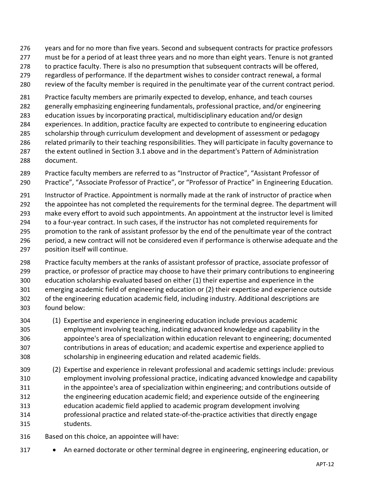- years and for no more than five years. Second and subsequent contracts for practice professors
- must be for a period of at least three years and no more than eight years. Tenure is not granted
- 278 to practice faculty. There is also no presumption that subsequent contracts will be offered,
- regardless of performance. If the department wishes to consider contract renewal, a formal
- review of the faculty member is required in the penultimate year of the current contract period.
- Practice faculty members are primarily expected to develop, enhance, and teach courses
- generally emphasizing engineering fundamentals, professional practice, and/or engineering
- education issues by incorporating practical, multidisciplinary education and/or design
- experiences. In addition, practice faculty are expected to contribute to engineering education
- scholarship through curriculum development and development of assessment or pedagogy related primarily to their teaching responsibilities. They will participate in faculty governance to
- the extent outlined in Section 3.1 above and in the department's Pattern of Administration document.
- Practice faculty members are referred to as "Instructor of Practice", "Assistant Professor of Practice", "Associate Professor of Practice", or "Professor of Practice" in Engineering Education.
- Instructor of Practice. Appointment is normally made at the rank of instructor of practice when 292 the appointee has not completed the requirements for the terminal degree. The department will make every effort to avoid such appointments. An appointment at the instructor level is limited to a four-year contract. In such cases, if the instructor has not completed requirements for promotion to the rank of assistant professor by the end of the penultimate year of the contract period, a new contract will not be considered even if performance is otherwise adequate and the position itself will continue.
- Practice faculty members at the ranks of assistant professor of practice, associate professor of practice, or professor of practice may choose to have their primary contributions to engineering education scholarship evaluated based on either (1) their expertise and experience in the emerging academic field of engineering education or (2) their expertise and experience outside of the engineering education academic field, including industry. Additional descriptions are found below:
- (1) Expertise and experience in engineering education include previous academic employment involving teaching, indicating advanced knowledge and capability in the appointee's area of specialization within education relevant to engineering; documented contributions in areas of education; and academic expertise and experience applied to scholarship in engineering education and related academic fields.
- (2) Expertise and experience in relevant professional and academic settings include: previous employment involving professional practice, indicating advanced knowledge and capability in the appointee's area of specialization within engineering; and contributions outside of the engineering education academic field; and experience outside of the engineering education academic field applied to academic program development involving professional practice and related state-of-the-practice activities that directly engage students.
- Based on this choice, an appointee will have:
- An earned doctorate or other terminal degree in engineering, engineering education, or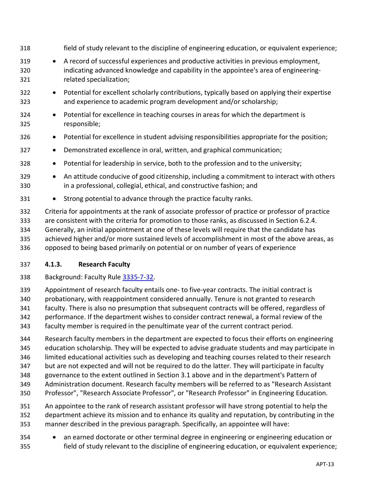- field of study relevant to the discipline of engineering education, or equivalent experience; • A record of successful experiences and productive activities in previous employment, 320 indicating advanced knowledge and capability in the appointee's area of engineering- related specialization; • Potential for excellent scholarly contributions, typically based on applying their expertise and experience to academic program development and/or scholarship; • Potential for excellence in teaching courses in areas for which the department is responsible; • Potential for excellence in student advising responsibilities appropriate for the position; • Demonstrated excellence in oral, written, and graphical communication; 328 • Potential for leadership in service, both to the profession and to the university;
	- 329 An attitude conducive of good citizenship, including a commitment to interact with others in a professional, collegial, ethical, and constructive fashion; and
	- Strong potential to advance through the practice faculty ranks.
- Criteria for appointments at the rank of associate professor of practice or professor of practice are consistent with the criteria for promotion to those ranks, as discussed in Section 6.2.4. Generally, an initial appointment at one of these levels will require that the candidate has achieved higher and/or more sustained levels of accomplishment in most of the above areas, as opposed to being based primarily on potential or on number of years of experience

### <span id="page-12-0"></span>**4.1.3. Research Faculty**

- Background: Faculty Rule [3335-7-32.](https://trustees.osu.edu/university-faculty-rules/3335-7)
- Appointment of research faculty entails one- to five-year contracts. The initial contract is probationary, with reappointment considered annually. Tenure is not granted to research faculty. There is also no presumption that subsequent contracts will be offered, regardless of performance. If the department wishes to consider contract renewal, a formal review of the faculty member is required in the penultimate year of the current contract period.
- Research faculty members in the department are expected to focus their efforts on engineering education scholarship. They will be expected to advise graduate students and may participate in limited educational activities such as developing and teaching courses related to their research but are not expected and will not be required to do the latter. They will participate in faculty governance to the extent outlined in Section [3.1](#page-5-1) above and in the department's Pattern of Administration document. Research faculty members will be referred to as "Research Assistant Professor", "Research Associate Professor", or "Research Professor" in Engineering Education.
- An appointee to the rank of research assistant professor will have strong potential to help the department achieve its mission and to enhance its quality and reputation, by contributing in the manner described in the previous paragraph. Specifically, an appointee will have:
- an earned doctorate or other terminal degree in engineering or engineering education or field of study relevant to the discipline of engineering education, or equivalent experience;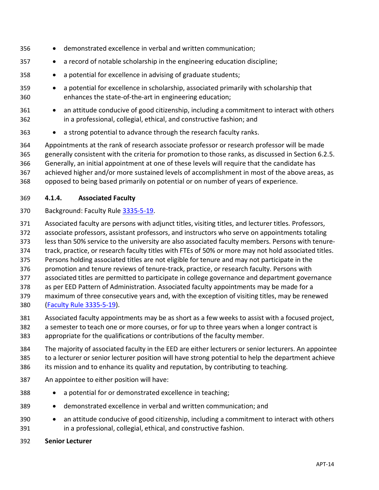- demonstrated excellence in verbal and written communication;
- a record of notable scholarship in the engineering education discipline;
- a potential for excellence in advising of graduate students;
- a potential for excellence in scholarship, associated primarily with scholarship that enhances the state-of-the-art in engineering education;
- an attitude conducive of good citizenship, including a commitment to interact with others in a professional, collegial, ethical, and constructive fashion; and
- a strong potential to advance through the research faculty ranks.

 Appointments at the rank of research associate professor or research professor will be made generally consistent with the criteria for promotion to those ranks, as discussed in Section 6.2.5. Generally, an initial appointment at one of these levels will require that the candidate has achieved higher and/or more sustained levels of accomplishment in most of the above areas, as opposed to being based primarily on potential or on number of years of experience.

- <span id="page-13-0"></span>**4.1.4. Associated Faculty**
- Background: Faculty Rule [3335-5-19.](https://trustees.osu.edu/bylaws-and-rules/3335-5)
- Associated faculty are persons with adjunct titles, visiting titles, and lecturer titles. Professors,
- associate professors, assistant professors, and instructors who serve on appointments totaling
- less than 50% service to the university are also associated faculty members. Persons with tenure-
- track, practice, or research faculty titles with FTEs of 50% or more may not hold associated titles.
- Persons holding associated titles are not eligible for tenure and may not participate in the
- promotion and tenure reviews of tenure-track, practice, or research faculty. Persons with
- associated titles are permitted to participate in college governance and department governance
- as per EED Pattern of Administration. Associated faculty appointments may be made for a
- maximum of three consecutive years and, with the exception of visiting titles, may be renewed [\(Faculty Rule 3335-5-19\)](https://trustees.osu.edu/bylaws-and-rules/3335-5).
- Associated faculty appointments may be as short as a few weeks to assist with a focused project,
- a semester to teach one or more courses, or for up to three years when a longer contract is
- appropriate for the qualifications or contributions of the faculty member.
- The majority of associated faculty in the EED are either lecturers or senior lecturers. An appointee to a lecturer or senior lecturer position will have strong potential to help the department achieve 386 its mission and to enhance its quality and reputation, by contributing to teaching.
- An appointee to either position will have:
- a potential for or demonstrated excellence in teaching;
- demonstrated excellence in verbal and written communication; and
- an attitude conducive of good citizenship, including a commitment to interact with others in a professional, collegial, ethical, and constructive fashion.
- **Senior Lecturer**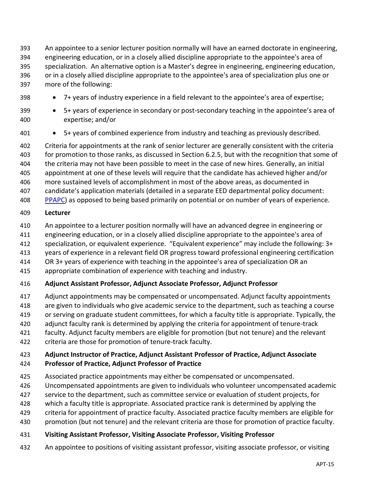An appointee to a senior lecturer position normally will have an earned doctorate in engineering, engineering education, or in a closely allied discipline appropriate to the appointee's area of specialization. An alternative option is a Master's degree in engineering, engineering education, or in a closely allied discipline appropriate to the appointee's area of specialization plus one or more of the following:

- 398 7+ years of industry experience in a field relevant to the appointee's area of expertise;
- 5+ years of experience in secondary or post-secondary teaching in the appointee's area of expertise; and/or
- 5+ years of combined experience from industry and teaching as previously described.

 Criteria for appointments at the rank of senior lecturer are generally consistent with the criteria for promotion to those ranks, as discussed in Section 6.2.5, but with the recognition that some of the criteria may not have been possible to meet in the case of new hires. Generally, an initial appointment at one of these levels will require that the candidate has achieved higher and/or more sustained levels of accomplishment in most of the above areas, as documented in candidate's application materials (detailed in a separate EED departmental policy document:

[PPAPC\)](https://buckeyemailosu.sharepoint.com/sites/ENG-EED/Shared%20Documents/Forms/AllItems.aspx?id=%2Fsites%2FENG%2DEED%2FShared%20Documents%2FGeneral%2FLatest%20Governance%20Documents%2FEED%20Lecturer%20Supplement%20%28PPAPC%29%5FApproved%202021%2D04%2D22%2Epdf&parent=%2Fsites%2FENG%2DEED%2FShared%20Documents%2FGeneral%2FLatest%20Governance%20Documents&p=true) as opposed to being based primarily on potential or on number of years of experience.

#### **Lecturer**

- An appointee to a lecturer position normally will have an advanced degree in engineering or
- engineering education, or in a closely allied discipline appropriate to the appointee's area of
- specialization, or equivalent experience. "Equivalent experience" may include the following: 3+
- years of experience in a relevant field OR progress toward professional engineering certification
- OR 3+ years of experience with teaching in the appointee's area of specialization OR an
- appropriate combination of experience with teaching and industry.

### **Adjunct Assistant Professor, Adjunct Associate Professor, Adjunct Professor**

- Adjunct appointments may be compensated or uncompensated. Adjunct faculty appointments
- are given to individuals who give academic service to the department, such as teaching a course
- or serving on graduate student committees, for which a faculty title is appropriate. Typically, the
- adjunct faculty rank is determined by applying the criteria for appointment of tenure-track
- faculty. Adjunct faculty members are eligible for promotion (but not tenure) and the relevant
- criteria are those for promotion of tenure-track faculty.

### **Adjunct Instructor of Practice, Adjunct Assistant Professor of Practice, Adjunct Associate**

### **Professor of Practice, Adjunct Professor of Practice**

- Associated practice appointments may either be compensated or uncompensated.
- Uncompensated appointments are given to individuals who volunteer uncompensated academic
- service to the department, such as committee service or evaluation of student projects, for
- which a faculty title is appropriate. Associated practice rank is determined by applying the
- criteria for appointment of practice faculty. Associated practice faculty members are eligible for
- promotion (but not tenure) and the relevant criteria are those for promotion of practice faculty.

### **Visiting Assistant Professor, Visiting Associate Professor, Visiting Professor**

An appointee to positions of visiting assistant professor, visiting associate professor, or visiting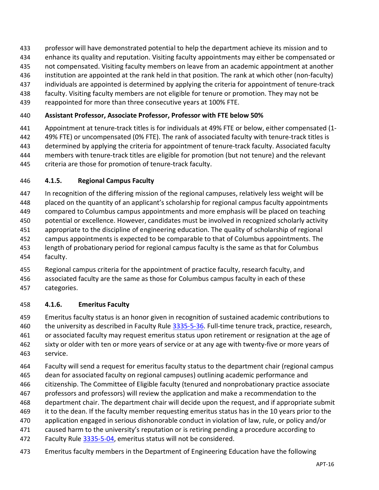- professor will have demonstrated potential to help the department achieve its mission and to
- enhance its quality and reputation. Visiting faculty appointments may either be compensated or
- not compensated. Visiting faculty members on leave from an academic appointment at another
- institution are appointed at the rank held in that position. The rank at which other (non-faculty)
- individuals are appointed is determined by applying the criteria for appointment of tenure-track
- faculty. Visiting faculty members are not eligible for tenure or promotion. They may not be
- reappointed for more than three consecutive years at 100% FTE.

### **Assistant Professor, Associate Professor, Professor with FTE below 50%**

 Appointment at tenure-track titles is for individuals at 49% FTE or below, either compensated (1- 49% FTE) or uncompensated (0% FTE). The rank of associated faculty with tenure-track titles is determined by applying the criteria for appointment of tenure-track faculty. Associated faculty members with tenure-track titles are eligible for promotion (but not tenure) and the relevant criteria are those for promotion of tenure-track faculty.

### <span id="page-15-0"></span>**4.1.5. Regional Campus Faculty**

- In recognition of the differing mission of the regional campuses, relatively less weight will be placed on the quantity of an applicant's scholarship for regional campus faculty appointments compared to Columbus campus appointments and more emphasis will be placed on teaching potential or excellence. However, candidates must be involved in recognized scholarly activity appropriate to the discipline of engineering education. The quality of scholarship of regional campus appointments is expected to be comparable to that of Columbus appointments. The length of probationary period for regional campus faculty is the same as that for Columbus faculty.
- Regional campus criteria for the appointment of practice faculty, research faculty, and
- associated faculty are the same as those for Columbus campus faculty in each of these categories.

### <span id="page-15-1"></span>**4.1.6. Emeritus Faculty**

- Emeritus faculty status is an honor given in recognition of sustained academic contributions to 460 the university as described in Faculty Rule [3335-5-36.](https://trustees.osu.edu/university-faculty-rules/3335-5) Full-time tenure track, practice, research, or associated faculty may request emeritus status upon retirement or resignation at the age of sixty or older with ten or more years of service or at any age with twenty-five or more years of service.
- Faculty will send a request for emeritus faculty status to the department chair (regional campus dean for associated faculty on regional campuses) outlining academic performance and citizenship. The Committee of Eligible faculty (tenured and nonprobationary practice associate professors and professors) will review the application and make a recommendation to the department chair. The department chair will decide upon the request, and if appropriate submit 469 it to the dean. If the faculty member requesting emeritus status has in the 10 years prior to the application engaged in serious dishonorable conduct in violation of law, rule, or policy and/or 471 caused harm to the university's reputation or is retiring pending a procedure according to
- 472 Faculty Rule [3335-5-04,](https://trustees.osu.edu/university-faculty-rules/3335-5) emeritus status will not be considered.
- Emeritus faculty members in the Department of Engineering Education have the following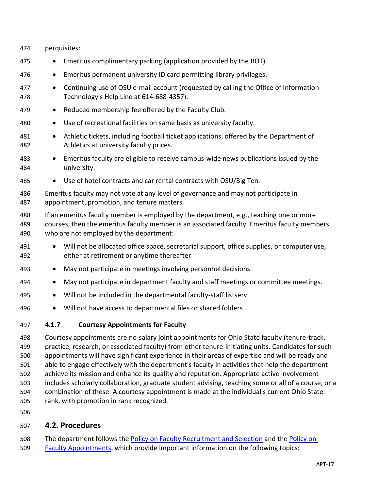| 474               | perquisites:                                                                                                                                                                                                                                                                                          |
|-------------------|-------------------------------------------------------------------------------------------------------------------------------------------------------------------------------------------------------------------------------------------------------------------------------------------------------|
| 475               | Emeritus complimentary parking (application provided by the BOT).<br>$\bullet$                                                                                                                                                                                                                        |
| 476               | Emeritus permanent university ID card permitting library privileges.<br>$\bullet$                                                                                                                                                                                                                     |
| 477<br>478        | Continuing use of OSU e-mail account (requested by calling the Office of Information<br>$\bullet$<br>Technology's Help Line at 614-688-4357).                                                                                                                                                         |
| 479               | Reduced membership fee offered by the Faculty Club.<br>$\bullet$                                                                                                                                                                                                                                      |
| 480               | Use of recreational facilities on same basis as university faculty.<br>$\bullet$                                                                                                                                                                                                                      |
| 481<br>482        | Athletic tickets, including football ticket applications, offered by the Department of<br>Athletics at university faculty prices.                                                                                                                                                                     |
| 483<br>484        | Emeritus faculty are eligible to receive campus-wide news publications issued by the<br>university.                                                                                                                                                                                                   |
| 485               | Use of hotel contracts and car rental contracts with OSU/Big Ten.<br>$\bullet$                                                                                                                                                                                                                        |
| 486<br>487        | Emeritus faculty may not vote at any level of governance and may not participate in<br>appointment, promotion, and tenure matters.                                                                                                                                                                    |
| 488<br>489<br>490 | If an emeritus faculty member is employed by the department, e.g., teaching one or more<br>courses, then the emeritus faculty member is an associated faculty. Emeritus faculty members<br>who are not employed by the department:                                                                    |
| 491<br>492        | Will not be allocated office space, secretarial support, office supplies, or computer use,<br>$\bullet$<br>either at retirement or anytime thereafter                                                                                                                                                 |
| 493               | May not participate in meetings involving personnel decisions<br>$\bullet$                                                                                                                                                                                                                            |
| 494               | May not participate in department faculty and staff meetings or committee meetings.<br>$\bullet$                                                                                                                                                                                                      |
| 495               | Will not be included in the departmental faculty-staff listserv<br>$\bullet$                                                                                                                                                                                                                          |
| 496               | Will not have access to departmental files or shared folders<br>$\bullet$                                                                                                                                                                                                                             |
| 497               | 4.1.7<br><b>Courtesy Appointments for Faculty</b>                                                                                                                                                                                                                                                     |
| 498<br>499<br>500 | Courtesy appointments are no-salary joint appointments for Ohio State faculty (tenure-track,<br>practice, research, or associated faculty) from other tenure-initiating units. Candidates for such<br>appointments will have significant experience in their areas of expertise and will be ready and |

- <span id="page-16-0"></span> able to engage effectively with the department's faculty in activities that help the department achieve its mission and enhance its quality and reputation. Appropriate active involvement
- includes scholarly collaboration, graduate student advising, teaching some or all of a course, or a
- combination of these. A courtesy appointment is made at the individual's current Ohio State
- rank, with promotion in rank recognized.
- 

# <span id="page-16-1"></span>**4.2. Procedures**

- 508 The department follows the [Policy on Faculty Recruitment and Selection](https://oaa.osu.edu/sites/default/files/links_files/facultyrecruitment_1.pdf) and the Policy on
- [Faculty Appointments,](https://oaa.osu.edu/assets/files/documents/facultyappointments.pdf) which provide important information on the following topics: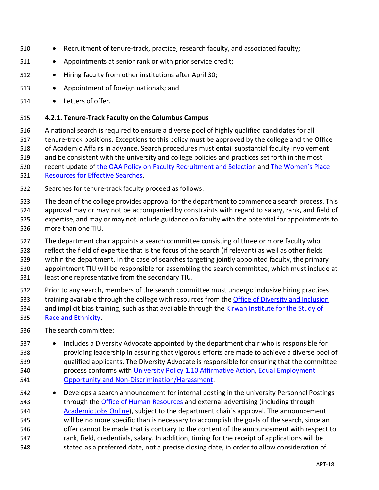- Recruitment of tenure-track, practice, research faculty, and associated faculty;
- Appointments at senior rank or with prior service credit;
- Hiring faculty from other institutions after April 30;
- Appointment of foreign nationals; and
- <span id="page-17-0"></span>• Letters of offer.

### **4.2.1. Tenure-Track Faculty on the Columbus Campus**

 A national search is required to ensure a diverse pool of highly qualified candidates for all tenure-track positions. Exceptions to this policy must be approved by the college and the Office of Academic Affairs in advance. Search procedures must entail substantial faculty involvement and be consistent with the university and college policies and practices set forth in the most

recent update of [the OAA Policy on Faculty Recruitment and Selection](https://oaa.osu.edu/sites/default/files/links_files/facultyrecruitment.pdf) and [The Women's Place](https://womensplace.osu.edu/resources/recruitment-tips) 

- [Resources for Effective Searches.](https://womensplace.osu.edu/resources/recruitment-tips)
- Searches for tenure-track faculty proceed as follows:
- The dean of the college provides approval for the department to commence a search process. This
- approval may or may not be accompanied by constraints with regard to salary, rank, and field of expertise, and may or may not include guidance on faculty with the potential for appointments to more than one TIU.
- 527 The department chair appoints a search committee consisting of three or more faculty who
- reflect the field of expertise that is the focus of the search (if relevant) as well as other fields
- within the department. In the case of searches targeting jointly appointed faculty, the primary
- appointment TIU will be responsible for assembling the search committee, which must include at
- least one representative from the secondary TIU.
- Prior to any search, members of the search committee must undergo inclusive hiring practices 533 training available through the college with resources from the [Office of Diversity and Inclusion](https://odi.osu.edu/)
- and implicit bias training, such as that available through the [Kirwan Institute for the Study of](http://kirwaninstitute.osu.edu/)
- [Race and Ethnicity.](http://kirwaninstitute.osu.edu/)
- The search committee:
- Includes a Diversity Advocate appointed by the department chair who is responsible for providing leadership in assuring that vigorous efforts are made to achieve a diverse pool of qualified applicants. The Diversity Advocate is responsible for ensuring that the committee 540 process conforms with University Policy 1.10 Affirmative Action, Equal Employment [Opportunity and Non-Discrimination/Harassment.](https://hr.osu.edu/wp-content/uploads/policy110.pdf)
- Develops a search announcement for internal posting in the university Personnel Postings 543 through the [Office of Human Resources](http://www.hr.osu.edu/) and external advertising (including through [Academic](https://academicjobsonline.org/ajo) Jobs Online), subject to the department chair's approval. The announcement will be no more specific than is necessary to accomplish the goals of the search, since an 546 offer cannot be made that is contrary to the content of the announcement with respect to rank, field, credentials, salary. In addition, timing for the receipt of applications will be stated as a preferred date, not a precise closing date, in order to allow consideration of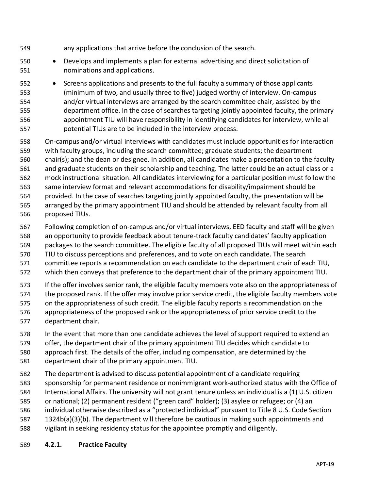- any applications that arrive before the conclusion of the search.
- Develops and implements a plan for external advertising and direct solicitation of nominations and applications.
- Screens applications and presents to the full faculty a summary of those applicants (minimum of two, and usually three to five) judged worthy of interview. On-campus and/or virtual interviews are arranged by the search committee chair, assisted by the department office. In the case of searches targeting jointly appointed faculty, the primary appointment TIU will have responsibility in identifying candidates for interview, while all potential TIUs are to be included in the interview process.
- On-campus and/or virtual interviews with candidates must include opportunities for interaction with faculty groups, including the search committee; graduate students; the department chair(s); and the dean or designee. In addition, all candidates make a presentation to the faculty and graduate students on their scholarship and teaching. The latter could be an actual class or a mock instructional situation. All candidates interviewing for a particular position must follow the 563 same interview format and relevant accommodations for disability/impairment should be
- provided. In the case of searches targeting jointly appointed faculty, the presentation will be arranged by the primary appointment TIU and should be attended by relevant faculty from all proposed TIUs.
- Following completion of on-campus and/or virtual interviews, EED faculty and staff will be given
- an opportunity to provide feedback about tenure-track faculty candidates' faculty application
- packages to the search committee. The eligible faculty of all proposed TIUs will meet within each
- TIU to discuss perceptions and preferences, and to vote on each candidate. The search
- committee reports a recommendation on each candidate to the department chair of each TIU,
- which then conveys that preference to the department chair of the primary appointment TIU.
- If the offer involves senior rank, the eligible faculty members vote also on the appropriateness of
- the proposed rank. If the offer may involve prior service credit, the eligible faculty members vote
- on the appropriateness of such credit. The eligible faculty reports a recommendation on the appropriateness of the proposed rank or the appropriateness of prior service credit to the
- <span id="page-18-0"></span> department chair.
	- In the event that more than one candidate achieves the level of support required to extend an
	- offer, the department chair of the primary appointment TIU decides which candidate to
	- approach first. The details of the offer, including compensation, are determined by the
	- department chair of the primary appointment TIU.
	- The department is advised to discuss potential appointment of a candidate requiring sponsorship for permanent residence or nonimmigrant work-authorized status with the Office of
	- International Affairs. The university will not grant tenure unless an individual is a (1) U.S. citizen
	- or national; (2) permanent resident ("green card" holder); (3) asylee or refugee; or (4) an
	- individual otherwise described as a "protected individual" pursuant to Title 8 U.S. Code Section
	- 1324b(a)(3)(b). The department will therefore be cautious in making such appointments and
	- vigilant in seeking residency status for the appointee promptly and diligently.
	- **4.2.1. Practice Faculty**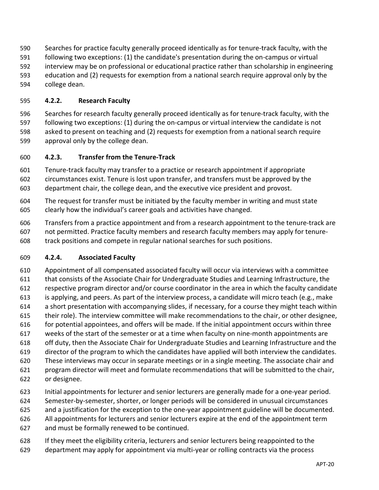- Searches for practice faculty generally proceed identically as for tenure-track faculty, with the following two exceptions: (1) the candidate's presentation during the on-campus or virtual interview may be on professional or educational practice rather than scholarship in engineering education and (2) requests for exemption from a national search require approval only by the college dean.
- <span id="page-19-0"></span>**4.2.2. Research Faculty**

 Searches for research faculty generally proceed identically as for tenure-track faculty, with the following two exceptions: (1) during the on-campus or virtual interview the candidate is not asked to present on teaching and (2) requests for exemption from a national search require approval only by the college dean.

<span id="page-19-1"></span>**4.2.3. Transfer from the Tenure-Track**

 Tenure-track faculty may transfer to a practice or research appointment if appropriate circumstances exist. Tenure is lost upon transfer, and transfers must be approved by the

department chair, the college dean, and the executive vice president and provost.

- The request for transfer must be initiated by the faculty member in writing and must state clearly how the individual's career goals and activities have changed.
- Transfers from a practice appointment and from a research appointment to the tenure-track are
- not permitted. Practice faculty members and research faculty members may apply for tenure-
- <span id="page-19-2"></span>track positions and compete in regular national searches for such positions.

### **4.2.4. Associated Faculty**

 Appointment of all compensated associated faculty will occur via interviews with a committee that consists of the Associate Chair for Undergraduate Studies and Learning Infrastructure, the respective program director and/or course coordinator in the area in which the faculty candidate is applying, and peers. As part of the interview process, a candidate will micro teach (e.g., make a short presentation with accompanying slides, if necessary, for a course they might teach within their role). The interview committee will make recommendations to the chair, or other designee, for potential appointees, and offers will be made. If the initial appointment occurs within three weeks of the start of the semester or at a time when faculty on nine-month appointments are off duty, then the Associate Chair for Undergraduate Studies and Learning Infrastructure and the director of the program to which the candidates have applied will both interview the candidates. These interviews may occur in separate meetings or in a single meeting. The associate chair and program director will meet and formulate recommendations that will be submitted to the chair, or designee.

- Initial appointments for lecturer and senior lecturers are generally made for a one-year period.
- Semester-by-semester, shorter, or longer periods will be considered in unusual circumstances
- and a justification for the exception to the one-year appointment guideline will be documented.
- All appointments for lecturers and senior lecturers expire at the end of the appointment term
- and must be formally renewed to be continued.
- If they meet the eligibility criteria, lecturers and senior lecturers being reappointed to the
- department may apply for appointment via multi-year or rolling contracts via the process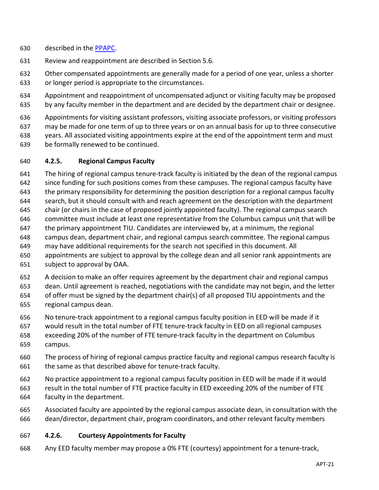- described in the [PPAPC.](https://buckeyemailosu.sharepoint.com/sites/ENG-EED/Shared%20Documents/Forms/AllItems.aspx?id=%2Fsites%2FENG%2DEED%2FShared%20Documents%2FGeneral%2FLatest%20Governance%20Documents%2FEED%20Lecturer%20Supplement%20%28PPAPC%29%5FApproved%202021%2D04%2D22%2Epdf&parent=%2Fsites%2FENG%2DEED%2FShared%20Documents%2FGeneral%2FLatest%20Governance%20Documents&p=true)
- Review and reappointment are described in Section 5.6.
- Other compensated appointments are generally made for a period of one year, unless a shorter or longer period is appropriate to the circumstances.
- Appointment and reappointment of uncompensated adjunct or visiting faculty may be proposed by any faculty member in the department and are decided by the department chair or designee.

 Appointments for visiting assistant professors, visiting associate professors, or visiting professors may be made for one term of up to three years or on an annual basis for up to three consecutive

 years. All associated visiting appointments expire at the end of the appointment term and must be formally renewed to be continued.

### <span id="page-20-0"></span>**4.2.5. Regional Campus Faculty**

 The hiring of regional campus tenure-track faculty is initiated by the dean of the regional campus since funding for such positions comes from these campuses. The regional campus faculty have the primary responsibility for determining the position description for a regional campus faculty search, but it should consult with and reach agreement on the description with the department chair (or chairs in the case of proposed jointly appointed faculty). The regional campus search committee must include at least one representative from the Columbus campus unit that will be the primary appointment TIU. Candidates are interviewed by, at a minimum, the regional campus dean, department chair, and regional campus search committee. The regional campus may have additional requirements for the search not specified in this document. All appointments are subject to approval by the college dean and all senior rank appointments are subject to approval by OAA.

- A decision to make an offer requires agreement by the department chair and regional campus
- dean. Until agreement is reached, negotiations with the candidate may not begin, and the letter of offer must be signed by the department chair(s) of all proposed TIU appointments and the regional campus dean.
- No tenure-track appointment to a regional campus faculty position in EED will be made if it
- would result in the total number of FTE tenure-track faculty in EED on all regional campuses
- exceeding 20% of the number of FTE tenure-track faculty in the department on Columbus campus.
- The process of hiring of regional campus practice faculty and regional campus research faculty is 661 the same as that described above for tenure-track faculty.
- No practice appointment to a regional campus faculty position in EED will be made if it would result in the total number of FTE practice faculty in EED exceeding 20% of the number of FTE faculty in the department.
- Associated faculty are appointed by the regional campus associate dean, in consultation with the dean/director, department chair, program coordinators, and other relevant faculty members

### <span id="page-20-1"></span>**4.2.6. Courtesy Appointments for Faculty**

Any EED faculty member may propose a 0% FTE (courtesy) appointment for a tenure-track,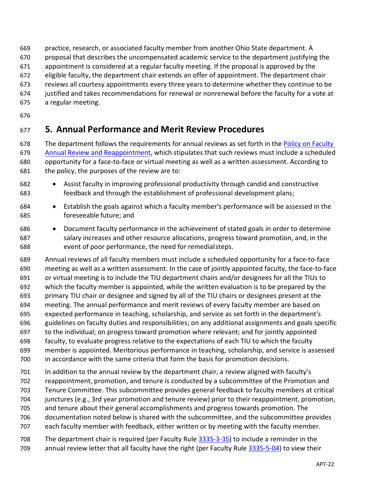- practice, research, or associated faculty member from another Ohio State department. A
- proposal that describes the uncompensated academic service to the department justifying the
- appointment is considered at a regular faculty meeting. If the proposal is approved by the
- eligible faculty, the department chair extends an offer of appointment. The department chair
- reviews all courtesy appointments every three years to determine whether they continue to be
- justified and takes recommendations for renewal or nonrenewal before the faculty for a vote at
- a regular meeting.
- 

# <span id="page-21-0"></span>**5. Annual Performance and Merit Review Procedures**

678 The department follows the requirements for annual reviews as set forth in the Policy on Faculty Annual Review [and Reappointment,](https://oaa.osu.edu/sites/default/files/uploads/policies/Faculty-Annual-Review-and-Reappointment.pdf) which stipulates that such reviews must include a scheduled opportunity for a face-to-face or virtual meeting as well as a written assessment. According to the policy, the purposes of the review are to:

- Assist faculty in improving professional productivity through candid and constructive feedback and through the establishment of professional development plans;
- Establish the goals against which a faculty member's performance will be assessed in the foreseeable future; and
- Document faculty performance in the achievement of stated goals in order to determine 687 salary increases and other resource allocations, progress toward promotion, and, in the event of poor performance, the need for remedialsteps.
- Annual reviews of all faculty members must include a scheduled opportunity for a face-to-face meeting as well as a written assessment. In the case of jointly appointed faculty, the face-to-face or virtual meeting is to include the TIU department chairs and/or designees for all the TIUs to which the faculty member is appointed, while the written evaluation is to be prepared by the primary TIU chair or designee and signed by all of the TIU chairs or designees present at the meeting. The annual performance and merit reviews of every faculty member are based on expected performance in teaching, scholarship, and service as set forth in the department's guidelines on faculty duties and responsibilities; on any additional assignments and goals specific 697 to the individual; on progress toward promotion where relevant; and for jointly appointed faculty, to evaluate progress relative to the expectations of each TIU to which the faculty member is appointed. Meritorious performance in teaching, scholarship, and service is assessed in accordance with the same criteria that form the basis for promotion decisions.
- 701 In addition to the annual review by the department chair, a review aligned with faculty's reappointment, promotion, and tenure is conducted by a subcommittee of the Promotion and Tenure Committee. This subcommittee provides general feedback to faculty members at critical
- junctures (e.g., 3rd year promotion and tenure review) prior to their reappointment, promotion,
- and tenure about their general accomplishments and progress towards promotion. The
- documentation noted below is shared with the subcommittee, and the subcommittee provides
- each faculty member with feedback, either written or by meeting with the faculty member.
- The department chair is required (per Faculty Rule [3335-3-35\)](https://trustees.osu.edu/bylaws-and-rules/3335-3) to include a reminder in the
- 709 annual review letter that all faculty have the right (per Faculty Rule [3335-5-04\)](https://trustees.osu.edu/bylaws-and-rules/3335-5) to view their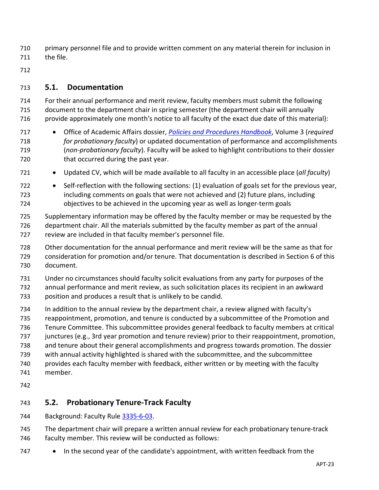- primary personnel file and to provide written comment on any material therein for inclusion in the file.
- 

### <span id="page-22-0"></span>**5.1. Documentation**

- For their annual performance and merit review, faculty members must submit the following document to the department chair in spring semester (the department chair will annually 716 provide approximately one month's notice to all faculty of the exact due date of this material):
- Office of Academic Affairs dossier, *[Policies and Procedures Handbook](https://oaa.osu.edu/policies-and-procedures-handbook)*, Volume 3 (*required for probationary faculty*) or updated documentation of performance and accomplishments (*non-probationary faculty*). Faculty will be asked to highlight contributions to their dossier 720 that occurred during the past year.
- Updated CV, which will be made available to all faculty in an accessible place (*all faculty*)
- Self-reflection with the following sections: (1) evaluation of goals set for the previous year, including comments on goals that were not achieved and (2) future plans, including objectives to be achieved in the upcoming year as well as longer-term goals
- Supplementary information may be offered by the faculty member or may be requested by the department chair. All the materials submitted by the faculty member as part of the annual review are included in that faculty member's personnel file.
- Other documentation for the annual performance and merit review will be the same as that for consideration for promotion and/or tenure. That documentation is described in Section 6 of this document.
- Under no circumstances should faculty solicit evaluations from any party for purposes of the annual performance and merit review, as such solicitation places its recipient in an awkward
- position and produces a result that is unlikely to be candid.
- In addition to the annual review by the department chair, a review aligned with faculty's reappointment, promotion, and tenure is conducted by a subcommittee of the Promotion and Tenure Committee. This subcommittee provides general feedback to faculty members at critical junctures (e.g., 3rd year promotion and tenure review) prior to their reappointment, promotion,
- and tenure about their general accomplishments and progress towards promotion. The dossier
- with annual activity highlighted is shared with the subcommittee, and the subcommittee provides each faculty member with feedback, either written or by meeting with the faculty
- member.
- 
- 

# <span id="page-22-1"></span>**5.2. Probationary Tenure-Track Faculty**

- Background: Faculty Rule [3335-6-03.](https://trustees.osu.edu/bylaws-and-rules/3335-6)
- The department chair will prepare a written annual review for each probationary tenure-track faculty member. This review will be conducted as follows:
- 747 In the second year of the candidate's appointment, with written feedback from the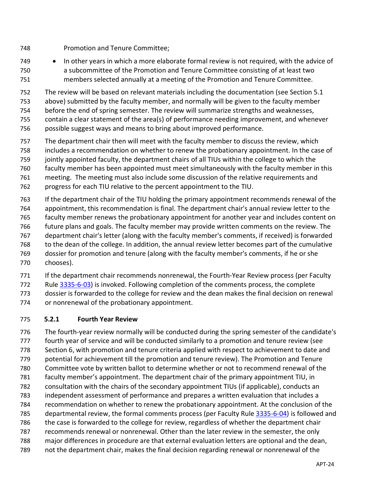- Promotion and Tenure Committee;
- 749 In other years in which a more elaborate formal review is not required, with the advice of a subcommittee of the Promotion and Tenure Committee consisting of at least two members selected annually at a meeting of the Promotion and Tenure Committee.

The review will be based on relevant materials including the documentation (see Section 5.1

above) submitted by the faculty member, and normally will be given to the faculty member

before the end of spring semester. The review will summarize strengths and weaknesses,

contain a clear statement of the area(s) of performance needing improvement, and whenever

- possible suggest ways and means to bring about improved performance.
- The department chair then will meet with the faculty member to discuss the review, which

includes a recommendation on whether to renew the probationary appointment. In the case of

- jointly appointed faculty, the department chairs of all TIUs within the college to which the
- faculty member has been appointed must meet simultaneously with the faculty member in this
- meeting. The meeting must also include some discussion of the relative requirements and
- progress for each TIU relative to the percent appointment to the TIU.
- If the department chair of the TIU holding the primary appointment recommends renewal of the appointment, this recommendation is final. The department chair's annual review letter to the faculty member renews the probationary appointment for another year and includes content on 766 future plans and goals. The faculty member may provide written comments on the review. The department chair's letter (along with the faculty member's comments, if received) is forwarded to the dean of the college. In addition, the annual review letter becomes part of the cumulative dossier for promotion and tenure (along with the faculty member's comments, if he or she chooses).

771 If the department chair recommends nonrenewal, the Fourth-Year Review process (per Faculty

 Rule [3335-6-03\)](https://trustees.osu.edu/bylaws-and-rules/3335-6) is invoked. Following completion of the comments process, the complete dossier is forwarded to the college for review and the dean makes the final decision on renewal

or nonrenewal of the probationary appointment.

### <span id="page-23-0"></span>**5.2.1 Fourth Year Review**

 The fourth-year review normally will be conducted during the spring semester of the candidate's fourth year of service and will be conducted similarly to a promotion and tenure review (see Section [6,](#page-28-0) with promotion and tenure criteria applied with respect to achievement to date and potential for achievement till the promotion and tenure review). The Promotion and Tenure Committee vote by written ballot to determine whether or not to recommend renewal of the faculty member's appointment. The department chair of the primary appointment TIU, in consultation with the chairs of the secondary appointment TIUs (if applicable), conducts an independent assessment of performance and prepares a written evaluation that includes a recommendation on whether to renew the probationary appointment. At the conclusion of the 785 departmental review, the formal comments process (per Faculty Rule [3335-6-04\)](https://trustees.osu.edu/bylaws-and-rules/3335-6) is followed and the case is forwarded to the college for review, regardless of whether the department chair recommends renewal or nonrenewal. Other than the later review in the semester, the only major differences in procedure are that external evaluation letters are optional and the dean, not the department chair, makes the final decision regarding renewal or nonrenewal of the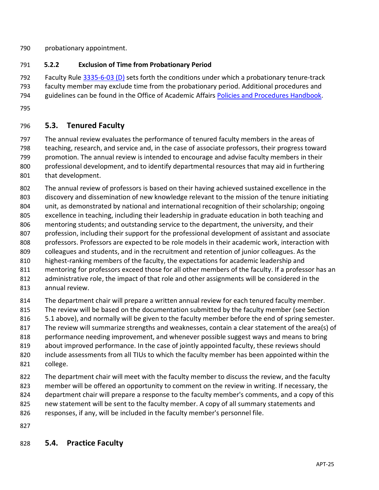- probationary appointment.
- <span id="page-24-0"></span>**5.2.2 Exclusion of Time from Probationary Period**

792 Faculty Rule [3335-6-03 \(D\)](https://trustees.osu.edu/bylaws-and-rules/3335-6) sets forth the conditions under which a probationary tenure-track faculty member may exclude time from the probationary period. Additional procedures and 794 guidelines can be found in the Office of Academic Affairs [Policies and Procedures Handbook.](https://oaa.osu.edu/policies-and-procedures-handbook)

<span id="page-24-1"></span>

### **5.3. Tenured Faculty**

 The annual review evaluates the performance of tenured faculty members in the areas of teaching, research, and service and, in the case of associate professors, their progress toward promotion. The annual review is intended to encourage and advise faculty members in their professional development, and to identify departmental resources that may aid in furthering that development.

 The annual review of professors is based on their having achieved sustained excellence in the discovery and dissemination of new knowledge relevant to the mission of the tenure initiating unit, as demonstrated by national and international recognition of their scholarship; ongoing excellence in teaching, including their leadership in graduate education in both teaching and mentoring students; and outstanding service to the department, the university, and their profession, including their support for the professional development of assistant and associate professors. Professors are expected to be role models in their academic work, interaction with colleagues and students, and in the recruitment and retention of junior colleagues. As the highest-ranking members of the faculty, the expectations for academic leadership and mentoring for professors exceed those for all other members of the faculty. If a professor has an

- administrative role, the impact of that role and other assignments will be considered in the annual review.
- The department chair will prepare a written annual review for each tenured faculty member. 815 The review will be based on the documentation submitted by the faculty member (see Section 816 5.1 above), and normally will be given to the faculty member before the end of spring semester. The review will summarize strengths and weaknesses, contain a clear statement of the area(s) of performance needing improvement, and whenever possible suggest ways and means to bring 819 about improved performance. In the case of jointly appointed faculty, these reviews should include assessments from all TIUs to which the faculty member has been appointed within the college. The department chair will meet with the faculty member to discuss the review, and the faculty
- member will be offered an opportunity to comment on the review in writing. If necessary, the 824 department chair will prepare a response to the faculty member's comments, and a copy of this 825 new statement will be sent to the faculty member. A copy of all summary statements and
- responses, if any, will be included in the faculty member's personnel file.
- <span id="page-24-2"></span>

# **5.4. Practice Faculty**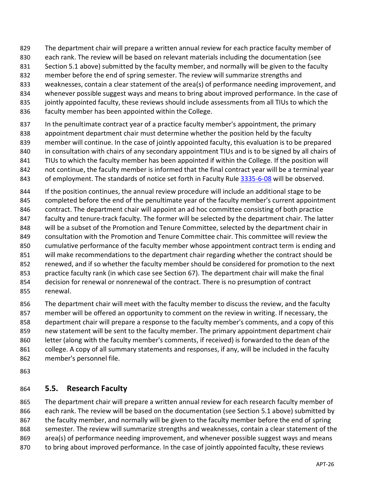- The department chair will prepare a written annual review for each practice faculty member of
- each rank. The review will be based on relevant materials including the documentation (see
- Section 5.1 above) submitted by the faculty member, and normally will be given to the faculty
- member before the end of spring semester. The review will summarize strengths and
- weaknesses, contain a clear statement of the area(s) of performance needing improvement, and
- whenever possible suggest ways and means to bring about improved performance. In the case of
- 835 jointly appointed faculty, these reviews should include assessments from all TIUs to which the
- faculty member has been appointed within the College.
- 837 In the penultimate contract year of a practice faculty member's appointment, the primary appointment department chair must determine whether the position held by the faculty member will continue. In the case of jointly appointed faculty, this evaluation is to be prepared in consultation with chairs of any secondary appointment TIUs and is to be signed by all chairs of 841 TIUs to which the faculty member has been appointed if within the College. If the position will not continue, the faculty member is informed that the final contract year will be a terminal year
- 843 of employment. The standards of notice set forth in Faculty Rule [3335-6-08](https://trustees.osu.edu/bylaws-and-rules/3335-6) will be observed.
- If the position continues, the annual review procedure will include an additional stage to be 845 completed before the end of the penultimate year of the faculty member's current appointment contract. The department chair will appoint an ad hoc committee consisting of both practice 847 faculty and tenure-track faculty. The former will be selected by the department chair. The latter will be a subset of the Promotion and Tenure Committee, selected by the department chair in consultation with the Promotion and Tenure Committee chair. This committee will review the cumulative performance of the faculty member whose appointment contract term is ending and 851 will make recommendations to the department chair regarding whether the contract should be renewed, and if so whether the faculty member should be considered for promotion to the next practice faculty rank (in which case see Section [67\)](#page-28-0). The department chair will make the final decision for renewal or nonrenewal of the contract. There is no presumption of contract renewal.
- 856 The department chair will meet with the faculty member to discuss the review, and the faculty member will be offered an opportunity to comment on the review in writing. If necessary, the department chair will prepare a response to the faculty member's comments, and a copy of this new statement will be sent to the faculty member. The primary appointment department chair 860 letter (along with the faculty member's comments, if received) is forwarded to the dean of the college. A copy of all summary statements and responses, if any, will be included in the faculty member's personnel file.
- 

# <span id="page-25-0"></span>**5.5. Research Faculty**

 The department chair will prepare a written annual review for each research faculty member of each rank. The review will be based on the documentation (see Section 5.1 above) submitted by 867 the faculty member, and normally will be given to the faculty member before the end of spring semester. The review will summarize strengths and weaknesses, contain a clear statement of the area(s) of performance needing improvement, and whenever possible suggest ways and means

to bring about improved performance. In the case of jointly appointed faculty, these reviews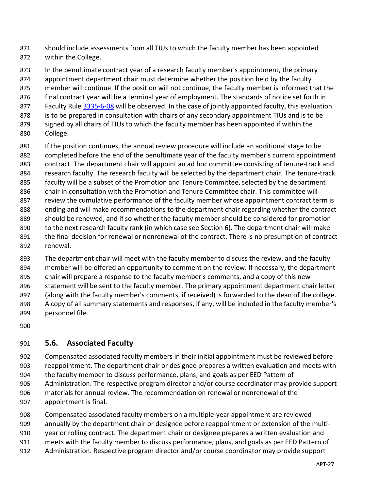- should include assessments from all TIUs to which the faculty member has been appointed within the College.
- In the penultimate contract year of a research faculty member's appointment, the primary appointment department chair must determine whether the position held by the faculty member will continue. If the position will not continue, the faculty member is informed that the 876 final contract year will be a terminal year of employment. The standards of notice set forth in 877 Faculty Rule [3335-6-08](https://trustees.osu.edu/bylaws-and-rules/3335-6) will be observed. In the case of jointly appointed faculty, this evaluation 878 is to be prepared in consultation with chairs of any secondary appointment TIUs and is to be signed by all chairs of TIUs to which the faculty member has been appointed if within the College.
- 881 If the position continues, the annual review procedure will include an additional stage to be completed before the end of the penultimate year of the faculty member's current appointment contract. The department chair will appoint an ad hoc committee consisting of tenure-track and 884 research faculty. The research faculty will be selected by the department chair. The tenure-track 885 faculty will be a subset of the Promotion and Tenure Committee, selected by the department chair in consultation with the Promotion and Tenure Committee chair. This committee will 887 review the cumulative performance of the faculty member whose appointment contract term is ending and will make recommendations to the department chair regarding whether the contract should be renewed, and if so whether the faculty member should be considered for promotion 890 to the next research faculty rank (in which case see Section [6\)](#page-28-0). The department chair will make the final decision for renewal or nonrenewal of the contract. There is no presumption of contract renewal.
- The department chair will meet with the faculty member to discuss the review, and the faculty member will be offered an opportunity to comment on the review. If necessary, the department chair will prepare a response to the faculty member's comments, and a copy of this new 896 statement will be sent to the faculty member. The primary appointment department chair letter (along with the faculty member's comments, if received) is forwarded to the dean of the college. 898 A copy of all summary statements and responses, if any, will be included in the faculty member's personnel file.
- <span id="page-26-0"></span>

# **5.6. Associated Faculty**

- Compensated associated faculty members in their initial appointment must be reviewed before reappointment. The department chair or designee prepares a written evaluation and meets with
- the faculty member to discuss performance, plans, and goals as per EED Pattern of
- Administration. The respective program director and/or course coordinator may provide support materials for annual review. The recommendation on renewal or nonrenewal of the appointment is final.
- Compensated associated faculty members on a multiple-year appointment are reviewed
- annually by the department chair or designee before reappointment or extension of the multi-
- year or rolling contract. The department chair or designee prepares a written evaluation and
- meets with the faculty member to discuss performance, plans, and goals as per EED Pattern of
- Administration. Respective program director and/or course coordinator may provide support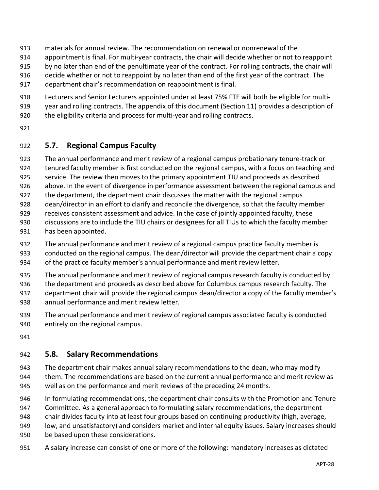- materials for annual review. The recommendation on renewal or nonrenewal of the
- appointment is final. For multi-year contracts, the chair will decide whether or not to reappoint
- by no later than end of the penultimate year of the contract. For rolling contracts, the chair will
- decide whether or not to reappoint by no later than end of the first year of the contract. The
- department chair's recommendation on reappointment is final.
- Lecturers and Senior Lecturers appointed under at least 75% FTE will both be eligible for multi-
- year and rolling contracts. The appendix of this document (Section 11) provides a description of
- the eligibility criteria and process for multi-year and rolling contracts.
- <span id="page-27-0"></span>

### **5.7. Regional Campus Faculty**

- The annual performance and merit review of a regional campus probationary tenure-track or
- tenured faculty member is first conducted on the regional campus, with a focus on teaching and
- service. The review then moves to the primary appointment TIU and proceeds as described
- above. In the event of divergence in performance assessment between the regional campus and
- the department, the department chair discusses the matter with the regional campus
- dean/director in an effort to clarify and reconcile the divergence, so that the faculty member
- receives consistent assessment and advice. In the case of jointly appointed faculty, these
- discussions are to include the TIU chairs or designees for all TIUs to which the faculty member
- has been appointed.
- The annual performance and merit review of a regional campus practice faculty member is
- conducted on the regional campus. The dean/director will provide the department chair a copy of the practice faculty member's annual performance and merit review letter.
- The annual performance and merit review of regional campus research faculty is conducted by
- the department and proceeds as described above for Columbus campus research faculty. The
- department chair will provide the regional campus dean/director a copy of the faculty member's annual performance and merit review letter.
- The annual performance and merit review of regional campus associated faculty is conducted entirely on the regional campus.
- 

### <span id="page-27-1"></span>**5.8. Salary Recommendations**

- The department chair makes annual salary recommendations to the dean, who may modify
- them. The recommendations are based on the current annual performance and merit review as well as on the performance and merit reviews of the preceding 24 months.
- In formulating recommendations, the department chair consults with the Promotion and Tenure
- Committee. As a general approach to formulating salary recommendations, the department
- chair divides faculty into at least four groups based on continuing productivity (high, average,
- low, and unsatisfactory) and considers market and internal equity issues. Salary increases should
- be based upon these considerations.
- A salary increase can consist of one or more of the following: mandatory increases as dictated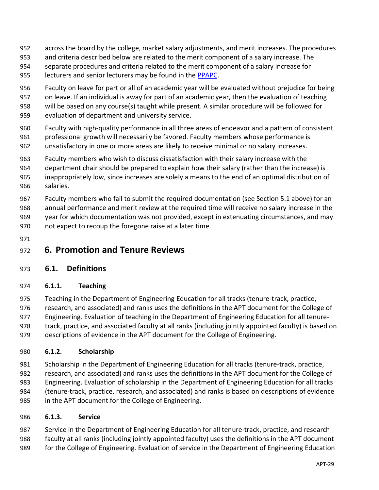- across the board by the college, market salary adjustments, and merit increases. The procedures
- and criteria described below are related to the merit component of a salary increase. The
- separate procedures and criteria related to the merit component of a salary increase for
- 955 lecturers and senior lecturers may be found in the [PPAPC.](https://buckeyemailosu.sharepoint.com/sites/ENG-EED/Shared%20Documents/Forms/AllItems.aspx?id=%2Fsites%2FENG%2DEED%2FShared%20Documents%2FGeneral%2FLatest%20Governance%20Documents%2FEED%20Lecturer%20Supplement%20%28PPAPC%29%5FApproved%202021%2D04%2D22%2Epdf&parent=%2Fsites%2FENG%2DEED%2FShared%20Documents%2FGeneral%2FLatest%20Governance%20Documents&p=true)
- Faculty on leave for part or all of an academic year will be evaluated without prejudice for being on leave. If an individual is away for part of an academic year, then the evaluation of teaching will be based on any course(s) taught while present. A similar procedure will be followed for
- evaluation of department and university service.
- Faculty with high-quality performance in all three areas of endeavor and a pattern of consistent
- professional growth will necessarily be favored. Faculty members whose performance is
- unsatisfactory in one or more areas are likely to receive minimal or no salary increases.
- Faculty members who wish to discuss dissatisfaction with their salary increase with the
- department chair should be prepared to explain how their salary (rather than the increase) is inappropriately low, since increases are solely a means to the end of an optimal distribution of
- salaries.
- Faculty members who fail to submit the required documentation (see Section 5.1 above) for an annual performance and merit review at the required time will receive no salary increase in the year for which documentation was not provided, except in extenuating circumstances, and may not expect to recoup the foregone raise at a later time.
- 

# <span id="page-28-0"></span>**6. Promotion and Tenure Reviews**

- <span id="page-28-1"></span>**6.1. Definitions**
- <span id="page-28-2"></span>**6.1.1. Teaching**

 Teaching in the Department of Engineering Education for all tracks (tenure-track, practice, research, and associated) and ranks uses the definitions in the APT document for the College of Engineering. Evaluation of teaching in the Department of Engineering Education for all tenure- track, practice, and associated faculty at all ranks (including jointly appointed faculty) is based on 979 descriptions of evidence in the APT document for the College of Engineering.

# <span id="page-28-3"></span>**6.1.2. Scholarship**

- Scholarship in the Department of Engineering Education for all tracks (tenure-track, practice,
- research, and associated) and ranks uses the definitions in the APT document for the College of Engineering. Evaluation of scholarship in the Department of Engineering Education for all tracks (tenure-track, practice, research, and associated) and ranks is based on descriptions of evidence
- in the APT document for the College of Engineering.

### <span id="page-28-4"></span>**6.1.3. Service**

Service in the Department of Engineering Education for all tenure-track, practice, and research

- faculty at all ranks (including jointly appointed faculty) uses the definitions in the APT document
- for the College of Engineering. Evaluation of service in the Department of Engineering Education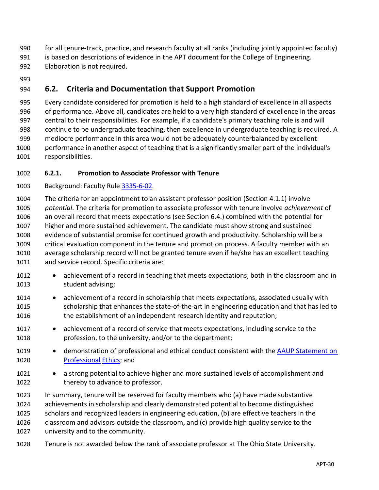for all tenure-track, practice, and research faculty at all ranks (including jointly appointed faculty) 991 is based on descriptions of evidence in the APT document for the College of Engineering.

- Elaboration is not required.
- 

# <span id="page-29-0"></span>**6.2. Criteria and Documentation that Support Promotion**

 Every candidate considered for promotion is held to a high standard of excellence in all aspects of performance. Above all, candidates are held to a very high standard of excellence in the areas central to their responsibilities. For example, if a candidate's primary teaching role is and will continue to be undergraduate teaching, then excellence in undergraduate teaching is required. A mediocre performance in this area would not be adequately counterbalanced by excellent performance in another aspect of teaching that is a significantly smaller part of the individual's responsibilities.

### <span id="page-29-1"></span>**6.2.1. Promotion to Associate Professor with Tenure**

Background: Faculty Rule [3335-6-02.](https://trustees.osu.edu/bylaws-and-rules/3335-6)

 The criteria for an appointment to an assistant professor position (Section [4.1.1\)](#page-9-2) involve *potential*. The criteria for promotion to associate professor with tenure involve *achievement* of an overall record that meets expectations (see Section 6.4.) combined with the potential for higher and more sustained achievement. The candidate must show strong and sustained evidence of substantial promise for continued growth and productivity. Scholarship will be a critical evaluation component in the tenure and promotion process. A faculty member with an average scholarship record will not be granted tenure even if he/she has an excellent teaching and service record. Specific criteria are:

- 1012 achievement of a record in teaching that meets expectations, both in the classroom and in student advising;
- 1014 achievement of a record in scholarship that meets expectations, associated usually with scholarship that enhances the state-of-the-art in engineering education and that has led to the establishment of an independent research identity and reputation;
- 1017 achievement of a record of service that meets expectations, including service to the profession, to the university, and/or to the department;
- 1019 demonstration of professional and ethical conduct consistent with the [AAUP Statement on](http://www.aaup.org/AAUP/pubsres/policydocs/contents/statementonprofessionalethics.htm) [Professional](http://www.aaup.org/AAUP/pubsres/policydocs/contents/statementonprofessionalethics.htm) [Ethics;](http://www.aaup.org/AAUP/pubsres/policydocs/contents/statementonprofessionalethics.htm) and
- 1021 a strong potential to achieve higher and more sustained levels of accomplishment and 1022 thereby to advance to professor.
- In summary, tenure will be reserved for faculty members who (a) have made substantive achievements in scholarship and clearly demonstrated potential to become distinguished scholars and recognized leaders in engineering education, (b) are effective teachers in the classroom and advisors outside the classroom, and (c) provide high quality service to the university and to the community.
- Tenure is not awarded below the rank of associate professor at The Ohio State University.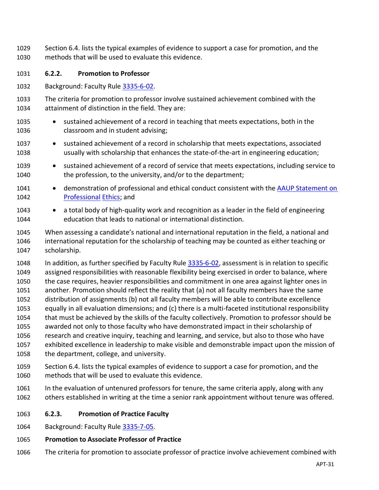- Section 6.4. lists the typical examples of evidence to support a case for promotion, and the methods that will be used to evaluate this evidence.
- <span id="page-30-0"></span>**6.2.2. Promotion to Professor**
- Background: Faculty Rule [3335-6-02.](https://trustees.osu.edu/bylaws-and-rules/3335-6)
- The criteria for promotion to professor involve sustained achievement combined with the attainment of distinction in the field. They are:
- sustained achievement of a record in teaching that meets expectations, both in the classroom and in student advising;
- sustained achievement of a record in scholarship that meets expectations, associated usually with scholarship that enhances the state-of-the-art in engineering education;
- 1039 sustained achievement of a record of service that meets expectations, including service to the profession, to the university, and/or to the department;
- 1041 demonstration of professional and ethical conduct consistent with the [AAUP Statement on](http://www.aaup.org/AAUP/pubsres/policydocs/contents/statementonprofessionalethics.htm) [Professional](http://www.aaup.org/AAUP/pubsres/policydocs/contents/statementonprofessionalethics.htm) [Ethics;](http://www.aaup.org/AAUP/pubsres/policydocs/contents/statementonprofessionalethics.htm) and
- a total body of high-quality work and recognition as a leader in the field of engineering education that leads to national or international distinction.
- When assessing a candidate's national and international reputation in the field, a national and international reputation for the scholarship of teaching may be counted as either teaching or scholarship.
- In addition, as further specified by Faculty Rule [3335-6-02,](https://trustees.osu.edu/rules/university-rules/chapter-3335-6-rules-of-the-university-faculty-concerning-faculty-appointments-reappointments-promotion-and-tenure.html) assessment is in relation to specific assigned responsibilities with reasonable flexibility being exercised in order to balance, where the case requires, heavier responsibilities and commitment in one area against lighter ones in another. Promotion should reflect the reality that (a) not all faculty members have the same distribution of assignments (b) not all faculty members will be able to contribute excellence equally in all evaluation dimensions; and (c) there is a multi-faceted institutional responsibility that must be achieved by the skills of the faculty collectively. Promotion to professor should be awarded not only to those faculty who have demonstrated impact in their scholarship of research and creative inquiry, teaching and learning, and service, but also to those who have exhibited excellence in leadership to make visible and demonstrable impact upon the mission of the department, college, and university.
- Section 6.4. lists the typical examples of evidence to support a case for promotion, and the methods that will be used to evaluate this evidence.
- In the evaluation of untenured professors for tenure, the same criteria apply, along with any others established in writing at the time a senior rank appointment without tenure was offered.
- <span id="page-30-1"></span>**6.2.3. Promotion of Practice Faculty**
- Background: Faculty Rule [3335-7-05.](https://trustees.osu.edu/university-faculty-rules/3335-7)
- **Promotion to Associate Professor of Practice**
- The criteria for promotion to associate professor of practice involve achievement combined with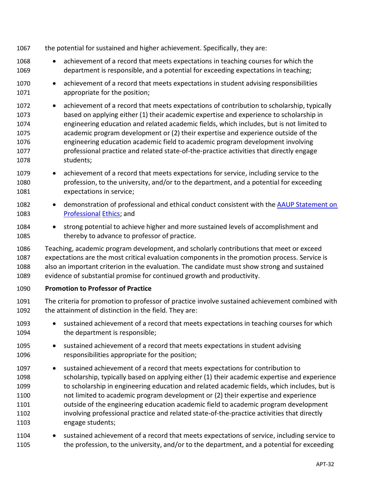- the potential for sustained and higher achievement. Specifically, they are:
- 1068 achievement of a record that meets expectations in teaching courses for which the department is responsible, and a potential for exceeding expectations in teaching;
- achievement of a record that meets expectations in student advising responsibilities appropriate for the position;
- achievement of a record that meets expectations of contribution to scholarship, typically based on applying either (1) their academic expertise and experience to scholarship in engineering education and related academic fields, which includes, but is not limited to academic program development or (2) their expertise and experience outside of the engineering education academic field to academic program development involving professional practice and related state-of-the-practice activities that directly engage students;
- 1079 achievement of a record that meets expectations for service, including service to the profession, to the university, and/or to the department, and a potential for exceeding expectations in service;
- 1082 demonstration of professional and ethical conduct consistent with the AAUP Statement on [Professional](http://www.aaup.org/AAUP/pubsres/policydocs/contents/statementonprofessionalethics.htm) [Ethics;](http://www.aaup.org/AAUP/pubsres/policydocs/contents/statementonprofessionalethics.htm) and
- strong potential to achieve higher and more sustained levels of accomplishment and thereby to advance to professor of practice.
- Teaching, academic program development, and scholarly contributions that meet or exceed expectations are the most critical evaluation components in the promotion process. Service is also an important criterion in the evaluation. The candidate must show strong and sustained evidence of substantial promise for continued growth and productivity.

### **Promotion to Professor of Practice**

- The criteria for promotion to professor of practice involve sustained achievement combined with the attainment of distinction in the field. They are:
- 1093 sustained achievement of a record that meets expectations in teaching courses for which the department is responsible;
- sustained achievement of a record that meets expectations in student advising responsibilities appropriate for the position;
- sustained achievement of a record that meets expectations for contribution to scholarship, typically based on applying either (1) their academic expertise and experience to scholarship in engineering education and related academic fields, which includes, but is not limited to academic program development or (2) their expertise and experience outside of the engineering education academic field to academic program development involving professional practice and related state-of-the-practice activities that directly engage students;
- 1104 sustained achievement of a record that meets expectations of service, including service to the profession, to the university, and/or to the department, and a potential for exceeding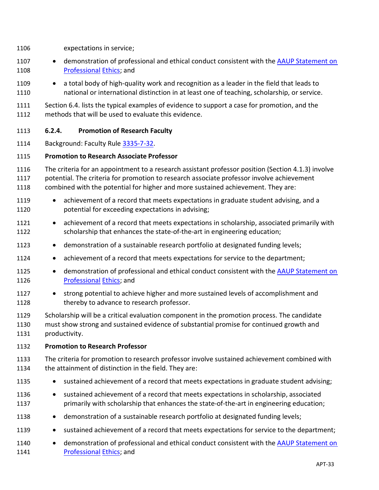- expectations in service;
- 1107 demonstration of professional and ethical conduct consistent with the AAUP Statement on [Professional](http://www.aaup.org/AAUP/pubsres/policydocs/contents/statementonprofessionalethics.htm) [Ethics;](http://www.aaup.org/AAUP/pubsres/policydocs/contents/statementonprofessionalethics.htm) and
- a total body of high-quality work and recognition as a leader in the field that leads to national or international distinction in at least one of teaching, scholarship, or service.
- Section 6.4. lists the typical examples of evidence to support a case for promotion, and the methods that will be used to evaluate this evidence.

### <span id="page-32-0"></span>**6.2.4. Promotion of Research Faculty**

Background: Faculty Rule [3335-7-32.](https://trustees.osu.edu/university-faculty-rules/3335-7)

### **Promotion to Research Associate Professor**

- The criteria for an appointment to a research assistant professor position (Section [4.1.3\)](#page-10-0) involve
- potential. The criteria for promotion to research associate professor involve achievement
- combined with the potential for higher and more sustained achievement. They are:
- 1119 achievement of a record that meets expectations in graduate student advising, and a potential for exceeding expectations in advising;
- achievement of a record that meets expectations in scholarship, associated primarily with scholarship that enhances the state-of-the-art in engineering education;
- 1123 demonstration of a sustainable research portfolio at designated funding levels;
- achievement of a record that meets expectations for service to the department;
- 1125 demonstration of professional and ethical conduct consistent with the [AAUP Statement on](http://www.aaup.org/AAUP/pubsres/policydocs/contents/statementonprofessionalethics.htm) [Professional](http://www.aaup.org/AAUP/pubsres/policydocs/contents/statementonprofessionalethics.htm) [Ethics;](http://www.aaup.org/AAUP/pubsres/policydocs/contents/statementonprofessionalethics.htm) and
- strong potential to achieve higher and more sustained levels of accomplishment and thereby to advance to research professor.
- Scholarship will be a critical evaluation component in the promotion process. The candidate must show strong and sustained evidence of substantial promise for continued growth and productivity.

### **Promotion to Research Professor**

- The criteria for promotion to research professor involve sustained achievement combined with the attainment of distinction in the field. They are:
- 1135 sustained achievement of a record that meets expectations in graduate student advising;
- 1136 sustained achievement of a record that meets expectations in scholarship, associated primarily with scholarship that enhances the state-of-the-art in engineering education;
- 1138 demonstration of a sustainable research portfolio at designated funding levels;
- sustained achievement of a record that meets expectations for service to the department;
- 1140 demonstration of professional and ethical conduct consistent with the [AAUP Statement on](http://www.aaup.org/AAUP/pubsres/policydocs/contents/statementonprofessionalethics.htm) [Professional](http://www.aaup.org/AAUP/pubsres/policydocs/contents/statementonprofessionalethics.htm) [Ethics;](http://www.aaup.org/AAUP/pubsres/policydocs/contents/statementonprofessionalethics.htm) and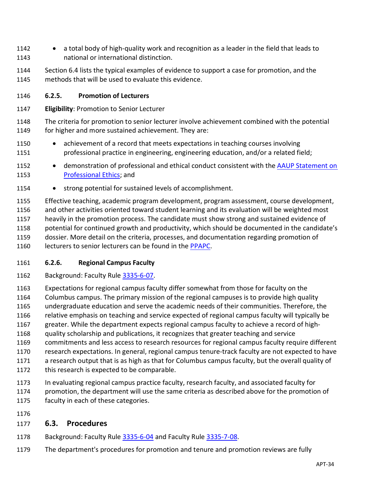- a total body of high-quality work and recognition as a leader in the field that leads to national or international distinction.
- Section 6.4 lists the typical examples of evidence to support a case for promotion, and the methods that will be used to evaluate this evidence.

### <span id="page-33-0"></span>**6.2.5. Promotion of Lecturers**

- **Eligibility**: Promotion to Senior Lecturer
- The criteria for promotion to senior lecturer involve achievement combined with the potential 1149 for higher and more sustained achievement. They are:
- achievement of a record that meets expectations in teaching courses involving professional practice in engineering, engineering education, and/or a related field;
- 1152 demonstration of professional and ethical conduct consistent with the AAUP Statement on [Professional Ethics;](https://www.aaup.org/report/statement-professional-ethics) and
- 1154 strong potential for sustained levels of accomplishment.
- Effective teaching, academic program development, program assessment, course development, and other activities oriented toward student learning and its evaluation will be weighted most heavily in the promotion process. The candidate must show strong and sustained evidence of potential for continued growth and productivity, which should be documented in the candidate's dossier. More detail on the criteria, processes, and documentation regarding promotion of 1160 lecturers to senior lecturers can be found in the [PPAPC.](https://buckeyemailosu.sharepoint.com/sites/ENG-EED/Shared%20Documents/Forms/AllItems.aspx?id=%2Fsites%2FENG%2DEED%2FShared%20Documents%2FGeneral%2FLatest%20Governance%20Documents%2FEED%20Lecturer%20Supplement%20%28PPAPC%29%5FApproved%202021%2D04%2D22%2Epdf&parent=%2Fsites%2FENG%2DEED%2FShared%20Documents%2FGeneral%2FLatest%20Governance%20Documents&p=true)

### <span id="page-33-1"></span>**6.2.6. Regional Campus Faculty**

- 1162 Background: Faculty Rule [3335-6-07.](https://trustees.osu.edu/bylaws-and-rules/3335-6)
- Expectations for regional campus faculty differ somewhat from those for faculty on the
- Columbus campus. The primary mission of the regional campuses is to provide high quality
- undergraduate education and serve the academic needs of their communities. Therefore, the
- relative emphasis on teaching and service expected of regional campus faculty will typically be
- greater. While the department expects regional campus faculty to achieve a record of high-quality scholarship and publications, it recognizes that greater teaching and service
- commitments and less access to research resources for regional campus faculty require different
- research expectations. In general, regional campus tenure-track faculty are not expected to have
- a research output that is as high as that for Columbus campus faculty, but the overall quality of
- 1172 this research is expected to be comparable.
- In evaluating regional campus practice faculty, research faculty, and associated faculty for promotion, the department will use the same criteria as described above for the promotion of faculty in each of these categories.
- 

### <span id="page-33-2"></span>**6.3. Procedures**

- Background: Faculty Rule [3335-6-04](https://trustees.osu.edu/bylaws-and-rules/3335-6) and Faculty Rule [3335-7-08.](https://trustees.osu.edu/university-faculty-rules/3335-7)
- The department's procedures for promotion and tenure and promotion reviews are fully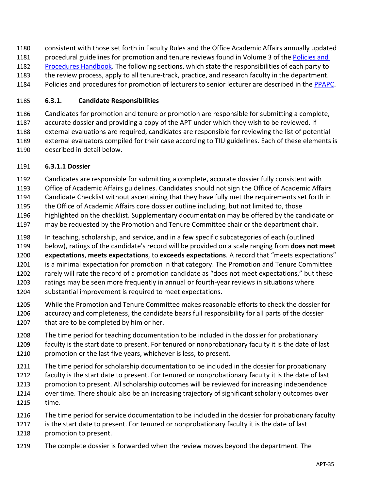consistent with those set forth in Faculty Rules and the Office Academic Affairs annually updated 1181 procedural guidelines for promotion and tenure reviews found in Volume 3 of the [Policies](https://oaa.osu.edu/policies-and-procedures-handbook) and [Procedures](https://oaa.osu.edu/policies-and-procedures-handbook) Handbook. The following sections, which state the responsibilities of each party to the review process, apply to all tenure-track, practice, and research faculty in the department. Policies and procedures for promotion of lecturers to senior lecturer are described in the [PPAPC.](https://buckeyemailosu.sharepoint.com/sites/ENG-EED/Shared%20Documents/Forms/AllItems.aspx?id=%2Fsites%2FENG%2DEED%2FShared%20Documents%2FGeneral%2FLatest%20Governance%20Documents%2FEED%20Lecturer%20Supplement%20%28PPAPC%29%5FApproved%202021%2D04%2D22%2Epdf&parent=%2Fsites%2FENG%2DEED%2FShared%20Documents%2FGeneral%2FLatest%20Governance%20Documents&p=true)

### <span id="page-34-0"></span>**6.3.1. Candidate Responsibilities**

 Candidates for promotion and tenure or promotion are responsible for submitting a complete, accurate dossier and providing a copy of the APT under which they wish to be reviewed. If external evaluations are required, candidates are responsible for reviewing the list of potential external evaluators compiled for their case according to TIU guidelines. Each of these elements is described in detail below.

### **6.3.1.1 Dossier**

- Candidates are responsible for submitting a complete, accurate dossier fully consistent with
- Office of Academic Affairs guidelines. Candidates should not sign the Office of Academic Affairs
- Candidate Checklist without ascertaining that they have fully met the requirements set forth in
- the Office of Academic Affairs core dossier outline including, but not limited to, those
- highlighted on the checklist. Supplementary documentation may be offered by the candidate or
- may be requested by the Promotion and Tenure Committee chair or the department chair.
- In teaching, scholarship, and service, and in a few specific subcategories of each (outlined
- below), ratings of the candidate's record will be provided on a scale ranging from **does not meet expectations**, **meets expectations**, to **exceeds expectations**. A record that "meets expectations" is a minimal expectation for promotion in that category. The Promotion and Tenure Committee
- rarely will rate the record of a promotion candidate as "does not meet expectations," but these
- 1203 ratings may be seen more frequently in annual or fourth-year reviews in situations where
- substantial improvement is required to meet expectations.
- While the Promotion and Tenure Committee makes reasonable efforts to check the dossier for accuracy and completeness, the candidate bears full responsibility for all parts of the dossier that are to be completed by him or her.
- The time period for teaching documentation to be included in the dossier for probationary
- faculty is the start date to present. For tenured or nonprobationary faculty it is the date of last promotion or the last five years, whichever is less, to present.
- The time period for scholarship documentation to be included in the dossier for probationary
- faculty is the start date to present. For tenured or nonprobationary faculty it is the date of last
- promotion to present. All scholarship outcomes will be reviewed for increasing independence
- over time. There should also be an increasing trajectory of significant scholarly outcomes over time.
- The time period for service documentation to be included in the dossier for probationary faculty
- is the start date to present. For tenured or nonprobationary faculty it is the date of last promotion to present.
- The complete dossier is forwarded when the review moves beyond the department. The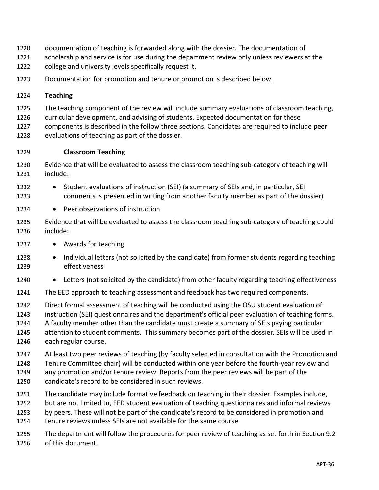- documentation of teaching is forwarded along with the dossier. The documentation of
- 1221 scholarship and service is for use during the department review only unless reviewers at the
- college and university levels specifically request it.
- Documentation for promotion and tenure or promotion is described below.

#### <span id="page-35-0"></span>**Teaching**

- The teaching component of the review will include summary evaluations of classroom teaching,
- curricular development, and advising of students. Expected documentation for these
- components is described in the follow three sections. Candidates are required to include peer
- evaluations of teaching as part of the dossier.

#### **Classroom Teaching**

- Evidence that will be evaluated to assess the classroom teaching sub-category of teaching will include:
- 1232 Student evaluations of instruction (SEI) (a summary of SEIs and, in particular, SEI comments is presented in writing from another faculty member as part of the dossier)
- 1234 Peer observations of instruction
- Evidence that will be evaluated to assess the classroom teaching sub-category of teaching could include:
- 1237 Awards for teaching
- Individual letters (not solicited by the candidate) from former students regarding teaching effectiveness
- 1240 Letters (not solicited by the candidate) from other faculty regarding teaching effectiveness
- The EED approach to teaching assessment and feedback has two required components.
- Direct formal assessment of teaching will be conducted using the OSU student evaluation of instruction (SEI) questionnaires and the department's official peer evaluation of teaching forms. A faculty member other than the candidate must create a summary of SEIs paying particular attention to student comments. This summary becomes part of the dossier. SEIs will be used in
- each regular course.
	- At least two peer reviews of teaching (by faculty selected in consultation with the Promotion and Tenure Committee chair) will be conducted within one year before the fourth-year review and any promotion and/or tenure review. Reports from the peer reviews will be part of the
	- candidate's record to be considered in such reviews.
	- The candidate may include formative feedback on teaching in their dossier. Examples include,
	- but are not limited to, EED student evaluation of teaching questionnaires and informal reviews
	- by peers. These will not be part of the candidate's record to be considered in promotion and
	- tenure reviews unless SEIs are not available for the same course.
	- The department will follow the procedures for peer review of teaching as set forth in Section 9.2 of this document.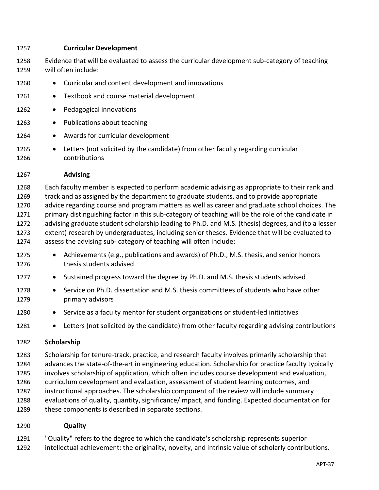#### **Curricular Development**

- Evidence that will be evaluated to assess the curricular development sub-category of teaching will often include:
- Curricular and content development and innovations
- 1261 Textbook and course material development
- 1262 Pedagogical innovations
- 1263 Publications about teaching
- 1264 Awards for curricular development
- Letters (not solicited by the candidate) from other faculty regarding curricular contributions

#### **Advising**

 Each faculty member is expected to perform academic advising as appropriate to their rank and track and as assigned by the department to graduate students, and to provide appropriate advice regarding course and program matters as well as career and graduate school choices. The 1271 primary distinguishing factor in this sub-category of teaching will be the role of the candidate in advising graduate student scholarship leading to Ph.D. and M.S. (thesis) degrees, and (to a lesser extent) research by undergraduates, including senior theses. Evidence that will be evaluated to assess the advising sub- category of teaching will often include:

- 1275 Achievements (e.g., publications and awards) of Ph.D., M.S. thesis, and senior honors thesis students advised
- Sustained progress toward the degree by Ph.D. and M.S. thesis students advised
- Service on Ph.D. dissertation and M.S. thesis committees of students who have other primary advisors
- Service as a faculty mentor for student organizations or student-led initiatives
- <span id="page-36-0"></span>1281 • Letters (not solicited by the candidate) from other faculty regarding advising contributions

### **Scholarship**

 Scholarship for tenure-track, practice, and research faculty involves primarily scholarship that advances the state-of-the-art in engineering education. Scholarship for practice faculty typically involves scholarship of application, which often includes course development and evaluation, curriculum development and evaluation, assessment of student learning outcomes, and instructional approaches. The scholarship component of the review will include summary evaluations of quality, quantity, significance/impact, and funding. Expected documentation for 1289 these components is described in separate sections.

### **Quality**

"Quality" refers to the degree to which the candidate's scholarship represents superior

intellectual achievement: the originality, novelty, and intrinsic value of scholarly contributions.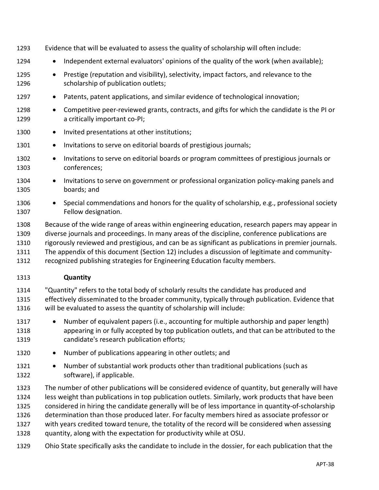- Evidence that will be evaluated to assess the quality of scholarship will often include:
- 1294 Independent external evaluators' opinions of the quality of the work (when available);
- 1295 Prestige (reputation and visibility), selectivity, impact factors, and relevance to the 1296 scholarship of publication outlets;
- 1297 Patents, patent applications, and similar evidence of technological innovation;
- Competitive peer-reviewed grants, contracts, and gifts for which the candidate is the PI or a critically important co-PI;
- 1300 Invited presentations at other institutions;
- 1301 Invitations to serve on editorial boards of prestigious journals;
- Invitations to serve on editorial boards or program committees of prestigious journals or conferences;
- 1304 Invitations to serve on government or professional organization policy-making panels and boards; and
- Special commendations and honors for the quality of scholarship, e.g., professional society Fellow designation.
- Because of the wide range of areas within engineering education, research papers may appear in diverse journals and proceedings. In many areas of the discipline, conference publications are
- rigorously reviewed and prestigious, and can be as significant as publications in premier journals.
- The appendix of this document (Section [12\)](#page-47-0) includes a discussion of legitimate and community-
- recognized publishing strategies for Engineering Education faculty members.

#### **Quantity**

- "Quantity" refers to the total body of scholarly results the candidate has produced and effectively disseminated to the broader community, typically through publication. Evidence that will be evaluated to assess the quantity of scholarship will include:
- Number of equivalent papers (i.e., accounting for multiple authorship and paper length) appearing in or fully accepted by top publication outlets, and that can be attributed to the candidate's research publication efforts;
- 1320 Number of publications appearing in other outlets; and
- Number of substantial work products other than traditional publications (such as software), if applicable.
- The number of other publications will be considered evidence of quantity, but generally will have less weight than publications in top publication outlets. Similarly, work products that have been
- considered in hiring the candidate generally will be of less importance in quantity-of-scholarship
- determination than those produced later. For faculty members hired as associate professor or
- with years credited toward tenure, the totality of the record will be considered when assessing
- quantity, along with the expectation for productivity while at OSU.
- Ohio State specifically asks the candidate to include in the dossier, for each publication that the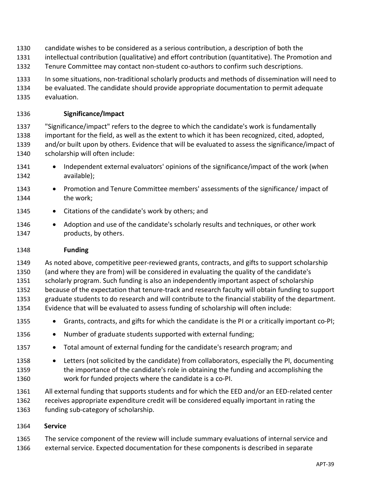- candidate wishes to be considered as a serious contribution, a description of both the
- intellectual contribution (qualitative) and effort contribution (quantitative). The Promotion and
- Tenure Committee may contact non-student co-authors to confirm such descriptions.
- In some situations, non-traditional scholarly products and methods of dissemination will need to
- be evaluated. The candidate should provide appropriate documentation to permit adequate evaluation.

### **Significance/Impact**

- "Significance/impact" refers to the degree to which the candidate's work is fundamentally important for the field, as well as the extent to which it has been recognized, cited, adopted, and/or built upon by others. Evidence that will be evaluated to assess the significance/impact of scholarship will often include:
- 1341 Independent external evaluators' opinions of the significance/impact of the work (when available);
- Promotion and Tenure Committee members' assessments of the significance/ impact of the work;
- 1345 Citations of the candidate's work by others; and
- 1346 Adoption and use of the candidate's scholarly results and techniques, or other work products, by others.

### **Funding**

- As noted above, competitive peer-reviewed grants, contracts, and gifts to support scholarship (and where they are from) will be considered in evaluating the quality of the candidate's scholarly program. Such funding is also an independently important aspect of scholarship because of the expectation that tenure-track and research faculty will obtain funding to support graduate students to do research and will contribute to the financial stability of the department. Evidence that will be evaluated to assess funding of scholarship will often include:
- Grants, contracts, and gifts for which the candidate is the PI or a critically important co-PI;
- 1356 Number of graduate students supported with external funding;
- Total amount of external funding for the candidate's research program; and
- 1358 Letters (not solicited by the candidate) from collaborators, especially the PI, documenting the importance of the candidate's role in obtaining the funding and accomplishing the work for funded projects where the candidate is a co-PI.
- All external funding that supports students and for which the EED and/or an EED-related center receives appropriate expenditure credit will be considered equally important in rating the funding sub-category of scholarship.

### <span id="page-38-0"></span>**Service**

The service component of the review will include summary evaluations of internal service and

external service. Expected documentation for these components is described in separate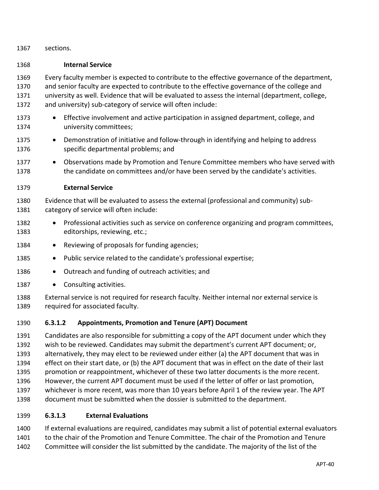sections.

#### **Internal Service**

 Every faculty member is expected to contribute to the effective governance of the department, and senior faculty are expected to contribute to the effective governance of the college and university as well. Evidence that will be evaluated to assess the internal (department, college, and university) sub-category of service will often include:

- Effective involvement and active participation in assigned department, college, and university committees;
- 1375 Demonstration of initiative and follow-through in identifying and helping to address specific departmental problems; and
- 1377 Observations made by Promotion and Tenure Committee members who have served with the candidate on committees and/or have been served by the candidate's activities.

### **External Service**

 Evidence that will be evaluated to assess the external (professional and community) sub-category of service will often include:

- Professional activities such as service on conference organizing and program committees, editorships, reviewing, etc.;
- 1384 Reviewing of proposals for funding agencies;
- 1385 Public service related to the candidate's professional expertise;
- 1386 Outreach and funding of outreach activities; and
- 1387 Consulting activities.
- External service is not required for research faculty. Neither internal nor external service is required for associated faculty.

### **6.3.1.2 Appointments, Promotion and Tenure (APT) Document**

 Candidates are also responsible for submitting a copy of the APT document under which they wish to be reviewed. Candidates may submit the department's current APT document; or, alternatively, they may elect to be reviewed under either (a) the APT document that was in effect on their start date, or (b) the APT document that was in effect on the date of their last promotion or reappointment, whichever of these two latter documents is the more recent. However, the current APT document must be used if the letter of offer or last promotion, whichever is more recent, was more than 10 years before April 1 of the review year. The APT document must be submitted when the dossier is submitted to the department.

#### **6.3.1.3 External Evaluations**

 If external evaluations are required, candidates may submit a list of potential external evaluators 1401 to the chair of the Promotion and Tenure Committee. The chair of the Promotion and Tenure

Committee will consider the list submitted by the candidate. The majority of the list of the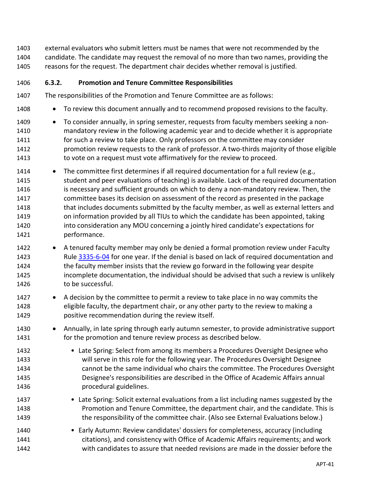external evaluators who submit letters must be names that were not recommended by the candidate. The candidate may request the removal of no more than two names, providing the reasons for the request. The department chair decides whether removal is justified.

### <span id="page-40-0"></span>**6.3.2. Promotion and Tenure Committee Responsibilities**

- The responsibilities of the Promotion and Tenure Committee are as follows:
- 1408 To review this document annually and to recommend proposed revisions to the faculty.
- To consider annually, in spring semester, requests from faculty members seeking a non- mandatory review in the following academic year and to decide whether it is appropriate for such a review to take place. Only professors on the committee may consider promotion review requests to the rank of professor. A two-thirds majority of those eligible to vote on a request must vote affirmatively for the review to proceed.
- 1414 The committee first determines if all required documentation for a full review (e.g., student and peer evaluations of teaching) is available. Lack of the required documentation is necessary and sufficient grounds on which to deny a non-mandatory review. Then, the committee bases its decision on assessment of the record as presented in the package 1418 that includes documents submitted by the faculty member, as well as external letters and on information provided by all TIUs to which the candidate has been appointed, taking into consideration any MOU concerning a jointly hired candidate's expectations for performance.
- 1422 A tenured faculty member may only be denied a formal promotion review under Faculty Rule [3335-6-04](https://trustees.osu.edu/bylaws-and-rules/3335-6) for one year. If the denial is based on lack of required documentation and the faculty member insists that the review go forward in the following year despite incomplete documentation, the individual should be advised that such a review is unlikely 1426 to be successful.
- A decision by the committee to permit a review to take place in no way commits the eligible faculty, the department chair, or any other party to the review to making a positive recommendation during the review itself.
- Annually, in late spring through early autumn semester, to provide administrative support for the promotion and tenure review process as described below.
- Late Spring: Select from among its members a Procedures Oversight Designee who will serve in this role for the following year. The Procedures Oversight Designee cannot be the same individual who chairs the committee. The Procedures Oversight Designee's responsibilities are described in the Office of Academic Affairs annual procedural guidelines.
- Late Spring: Solicit external evaluations from a list including names suggested by the Promotion and Tenure Committee, the department chair, and the candidate. This is the responsibility of the committee chair. (Also see External Evaluations below.)
- 1440 Early Autumn: Review candidates' dossiers for completeness, accuracy (including citations), and consistency with Office of Academic Affairs requirements; and work with candidates to assure that needed revisions are made in the dossier before the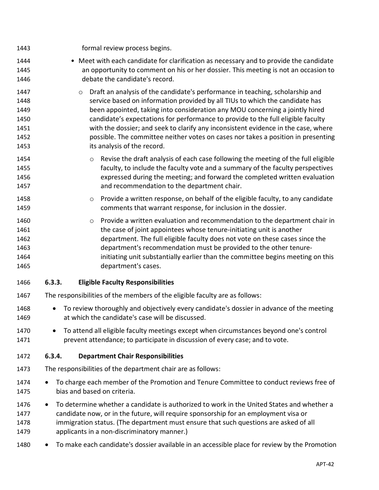<span id="page-41-1"></span><span id="page-41-0"></span>

| 1443                                                 | formal review process begins.                                                                                                                                                                                                                                                                                                                                                                                                                                                                                                                          |
|------------------------------------------------------|--------------------------------------------------------------------------------------------------------------------------------------------------------------------------------------------------------------------------------------------------------------------------------------------------------------------------------------------------------------------------------------------------------------------------------------------------------------------------------------------------------------------------------------------------------|
| 1444<br>1445<br>1446                                 | • Meet with each candidate for clarification as necessary and to provide the candidate<br>an opportunity to comment on his or her dossier. This meeting is not an occasion to<br>debate the candidate's record.                                                                                                                                                                                                                                                                                                                                        |
| 1447<br>1448<br>1449<br>1450<br>1451<br>1452<br>1453 | Draft an analysis of the candidate's performance in teaching, scholarship and<br>$\circ$<br>service based on information provided by all TIUs to which the candidate has<br>been appointed, taking into consideration any MOU concerning a jointly hired<br>candidate's expectations for performance to provide to the full eligible faculty<br>with the dossier; and seek to clarify any inconsistent evidence in the case, where<br>possible. The committee neither votes on cases nor takes a position in presenting<br>its analysis of the record. |
| 1454<br>1455<br>1456<br>1457                         | Revise the draft analysis of each case following the meeting of the full eligible<br>$\circ$<br>faculty, to include the faculty vote and a summary of the faculty perspectives<br>expressed during the meeting; and forward the completed written evaluation<br>and recommendation to the department chair.                                                                                                                                                                                                                                            |
| 1458<br>1459                                         | Provide a written response, on behalf of the eligible faculty, to any candidate<br>$\circ$<br>comments that warrant response, for inclusion in the dossier.                                                                                                                                                                                                                                                                                                                                                                                            |
| 1460<br>1461<br>1462<br>1463<br>1464<br>1465         | Provide a written evaluation and recommendation to the department chair in<br>$\circ$<br>the case of joint appointees whose tenure-initiating unit is another<br>department. The full eligible faculty does not vote on these cases since the<br>department's recommendation must be provided to the other tenure-<br>initiating unit substantially earlier than the committee begins meeting on this<br>department's cases.                                                                                                                           |
| 1466                                                 | 6.3.3.<br><b>Eligible Faculty Responsibilities</b>                                                                                                                                                                                                                                                                                                                                                                                                                                                                                                     |
| 1467                                                 | The responsibilities of the members of the eligible faculty are as follows:                                                                                                                                                                                                                                                                                                                                                                                                                                                                            |
| 1468<br>1469                                         | To review thoroughly and objectively every candidate's dossier in advance of the meeting<br>at which the candidate's case will be discussed.                                                                                                                                                                                                                                                                                                                                                                                                           |
| 1470<br>1471                                         | To attend all eligible faculty meetings except when circumstances beyond one's control<br>prevent attendance; to participate in discussion of every case; and to vote.                                                                                                                                                                                                                                                                                                                                                                                 |
| 1472                                                 | 6.3.4.<br><b>Department Chair Responsibilities</b>                                                                                                                                                                                                                                                                                                                                                                                                                                                                                                     |
| 1473                                                 | The responsibilities of the department chair are as follows:                                                                                                                                                                                                                                                                                                                                                                                                                                                                                           |
| 1474<br>1475                                         | To charge each member of the Promotion and Tenure Committee to conduct reviews free of<br>$\bullet$<br>bias and based on criteria.                                                                                                                                                                                                                                                                                                                                                                                                                     |
| 1476<br>1477<br>1478<br>1479                         | To determine whether a candidate is authorized to work in the United States and whether a<br>$\bullet$<br>candidate now, or in the future, will require sponsorship for an employment visa or<br>immigration status. (The department must ensure that such questions are asked of all<br>applicants in a non-discriminatory manner.)                                                                                                                                                                                                                   |
| 1480                                                 | To make each candidate's dossier available in an accessible place for review by the Promotion                                                                                                                                                                                                                                                                                                                                                                                                                                                          |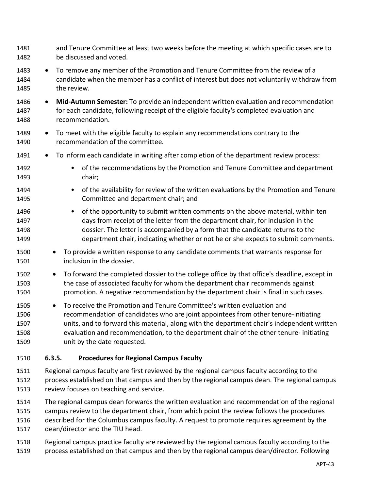- and Tenure Committee at least two weeks before the meeting at which specific cases are to be discussed and voted.
- To remove any member of the Promotion and Tenure Committee from the review of a candidate when the member has a conflict of interest but does not voluntarily withdraw from the review.
- **Mid-Autumn Semester:** To provide an independent written evaluation and recommendation for each candidate, following receipt of the eligible faculty's completed evaluation and recommendation.
- To meet with the eligible faculty to explain any recommendations contrary to the recommendation of the committee.
- 1491 To inform each candidate in writing after completion of the department review process:
- of the recommendations by the Promotion and Tenure Committee and department chair;
- 1494 of the availability for review of the written evaluations by the Promotion and Tenure Committee and department chair; and
- of the opportunity to submit written comments on the above material, within ten days from receipt of the letter from the department chair, for inclusion in the dossier. The letter is accompanied by a form that the candidate returns to the department chair, indicating whether or not he or she expects to submit comments.
- To provide a written response to any candidate comments that warrants response for inclusion in the dossier.
- To forward the completed dossier to the college office by that office's deadline, except in the case of associated faculty for whom the department chair recommends against promotion. A negative recommendation by the department chair is final in such cases.
- To receive the Promotion and Tenure Committee's written evaluation and recommendation of candidates who are joint appointees from other tenure-initiating units, and to forward this material, along with the department chair's independent written evaluation and recommendation, to the department chair of the other tenure- initiating unit by the date requested.
- <span id="page-42-0"></span>**6.3.5. Procedures for Regional Campus Faculty**
- Regional campus faculty are first reviewed by the regional campus faculty according to the process established on that campus and then by the regional campus dean. The regional campus review focuses on teaching and service.
- The regional campus dean forwards the written evaluation and recommendation of the regional campus review to the department chair, from which point the review follows the procedures
- described for the Columbus campus faculty. A request to promote requires agreement by the dean/director and the TIU head.
- Regional campus practice faculty are reviewed by the regional campus faculty according to the process established on that campus and then by the regional campus dean/director. Following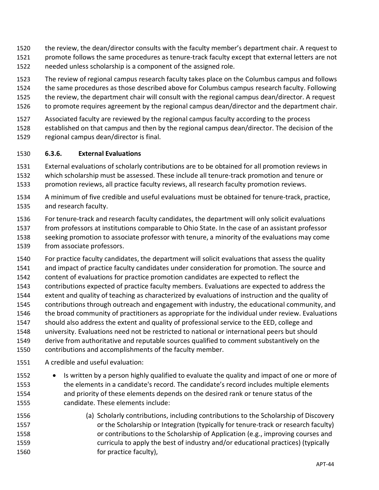- the review, the dean/director consults with the faculty member's department chair. A request to promote follows the same procedures as tenure-track faculty except that external letters are not
- needed unless scholarship is a component of the assigned role.
- The review of regional campus research faculty takes place on the Columbus campus and follows the same procedures as those described above for Columbus campus research faculty. Following
- the review, the department chair will consult with the regional campus dean/director. A request to promote requires agreement by the regional campus dean/director and the department chair.
- Associated faculty are reviewed by the regional campus faculty according to the process
- established on that campus and then by the regional campus dean/director. The decision of the regional campus dean/director is final.

### <span id="page-43-0"></span>**6.3.6. External Evaluations**

- External evaluations of scholarly contributions are to be obtained for all promotion reviews in which scholarship must be assessed. These include all tenure-track promotion and tenure or promotion reviews, all practice faculty reviews, all research faculty promotion reviews.
- A minimum of five credible and useful evaluations must be obtained for tenure-track, practice, and research faculty.
- For tenure-track and research faculty candidates, the department will only solicit evaluations from professors at institutions comparable to Ohio State. In the case of an assistant professor seeking promotion to associate professor with tenure, a minority of the evaluations may come from associate professors.
- For practice faculty candidates, the department will solicit evaluations that assess the quality and impact of practice faculty candidates under consideration for promotion. The source and content of evaluations for practice promotion candidates are expected to reflect the contributions expected of practice faculty members. Evaluations are expected to address the extent and quality of teaching as characterized by evaluations of instruction and the quality of contributions through outreach and engagement with industry, the educational community, and the broad community of practitioners as appropriate for the individual under review. Evaluations should also address the extent and quality of professional service to the EED, college and university. Evaluations need not be restricted to national or international peers but should derive from authoritative and reputable sources qualified to comment substantively on the contributions and accomplishments of the faculty member.
- A credible and useful evaluation:
- Is written by a person highly qualified to evaluate the quality and impact of one or more of the elements in a candidate's record. The candidate's record includes multiple elements and priority of these elements depends on the desired rank or tenure status of the candidate. These elements include:
- (a) Scholarly contributions, including contributions to the Scholarship of Discovery **1557** or the Scholarship or Integration (typically for tenure-track or research faculty) or contributions to the Scholarship of Application (e.g., improving courses and curricula to apply the best of industry and/or educational practices) (typically **for practice faculty**),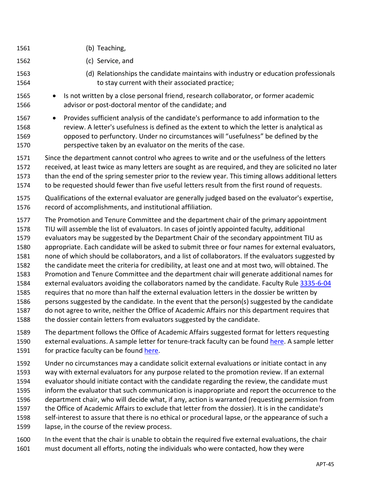- (b) Teaching, (c) Service, and (d) Relationships the candidate maintains with industry or education professionals to stay current with their associated practice; • Is not written by a close personal friend, research collaborator, or former academic advisor or post-doctoral mentor of the candidate; and • Provides sufficient analysis of the candidate's performance to add information to the review. A letter's usefulness is defined as the extent to which the letter is analytical as opposed to perfunctory. Under no circumstances will "usefulness" be defined by the perspective taken by an evaluator on the merits of the case.
- Since the department cannot control who agrees to write and or the usefulness of the letters received, at least twice as many letters are sought as are required, and they are solicited no later than the end of the spring semester prior to the review year. This timing allows additional letters to be requested should fewer than five useful letters result from the first round of requests.
- Qualifications of the external evaluator are generally judged based on the evaluator's expertise, record of accomplishments, and institutional affiliation.
- The Promotion and Tenure Committee and the department chair of the primary appointment TIU will assemble the list of evaluators. In cases of jointly appointed faculty, additional evaluators may be suggested by the Department Chair of the secondary appointment TIU as appropriate. Each candidate will be asked to submit three or four names for external evaluators, none of which should be collaborators, and a list of collaborators. If the evaluators suggested by the candidate meet the criteria for credibility, at least one and at most two, will obtained. The Promotion and Tenure Committee and the department chair will generate additional names for external evaluators avoiding the collaborators named by the candidate. Faculty Rule [3335-6-04](https://trustees.osu.edu/bylaws-and-rules/3335-6) requires that no more than half the external evaluation letters in the dossier be written by persons suggested by the candidate. In the event that the person(s) suggested by the candidate
- do not agree to write, neither the Office of Academic Affairs nor this department requires that 1588 the dossier contain letters from evaluators suggested by the candidate.
- The department follows the Office of Academic Affairs suggested format for letters requesting external evaluations. A sample letter for tenure-track faculty can be found [here.](https://oaa.osu.edu/assets/files/documents/Letter201.pdf) A sample letter 1591 for practice faculty can be found [here.](https://oaa.osu.edu/sites/default/files/uploads/handbooks/policies-and-procedures/samples/letters/Letter203.docx)
- Under no circumstances may a candidate solicit external evaluations or initiate contact in any way with external evaluators for any purpose related to the promotion review. If an external evaluator should initiate contact with the candidate regarding the review, the candidate must inform the evaluator that such communication is inappropriate and report the occurrence to the department chair, who will decide what, if any, action is warranted (requesting permission from the Office of Academic Affairs to exclude that letter from the dossier). It is in the candidate's self-interest to assure that there is no ethical or procedural lapse, or the appearance of such a lapse, in the course of the review process.
- In the event that the chair is unable to obtain the required five external evaluations, the chair must document all efforts, noting the individuals who were contacted, how they were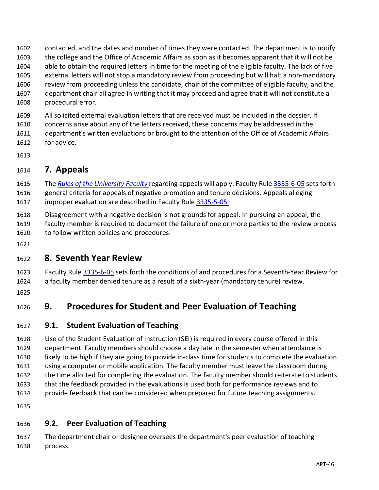contacted, and the dates and number of times they were contacted. The department is to notify the college and the Office of Academic Affairs as soon as it becomes apparent that it will not be able to obtain the required letters in time for the meeting of the eligible faculty. The lack of five external letters will not stop a mandatory review from proceeding but will halt a non-mandatory review from proceeding unless the candidate, chair of the committee of eligible faculty, and the department chair all agree in writing that it may proceed and agree that it will not constitute a procedural error.

 All solicited external evaluation letters that are received must be included in the dossier. If concerns arise about any of the letters received, these concerns may be addressed in the department's written evaluations or brought to the attention of the Office of Academic Affairs for advice.

# <span id="page-45-0"></span>**7. Appeals**

 The *Rules of the [University](https://trustees.osu.edu/bylaws-and-rules/university-faculty-rules) Faculty* regarding appeals will apply. Faculty Rule [3335-6-05](https://trustees.osu.edu/rules/university-rules/chapter-3335-6-rules-of-the-university-faculty-concerning-faculty-appointments-reappointments-promotion-and-tenure.html) sets forth general criteria for appeals of negative promotion and tenure decisions. Appeals alleging improper evaluation are described in Faculty Rule [3335-5-05.](https://trustees.osu.edu/rules/university-rules/chapter-3335-5-faculty-governance-and-committees.html)

 Disagreement with a negative decision is not grounds for appeal. In pursuing an appeal, the faculty member is required to document the failure of one or more parties to the review process to follow written policies and procedures.

# <span id="page-45-1"></span>**8. Seventh Year Review**

1623 Faculty Rule  $3335-6-05$  sets forth the conditions of and procedures for a Seventh-Year Review for a faculty member denied tenure as a result of a sixth-year (mandatory tenure) review.

# <span id="page-45-2"></span>**9. Procedures for Student and Peer Evaluation of Teaching**

# <span id="page-45-3"></span>**9.1. Student Evaluation of Teaching**

 Use of the Student Evaluation of Instruction (SEI) is required in every course offered in this department. Faculty members should choose a day late in the semester when attendance is likely to be high if they are going to provide in-class time for students to complete the evaluation using a computer or mobile application. The faculty member must leave the classroom during the time allotted for completing the evaluation. The faculty member should reiterate to students that the feedback provided in the evaluations is used both for performance reviews and to provide feedback that can be considered when prepared for future teaching assignments.

<span id="page-45-4"></span>

# **9.2. Peer Evaluation of Teaching**

 The department chair or designee oversees the department's peer evaluation of teaching process.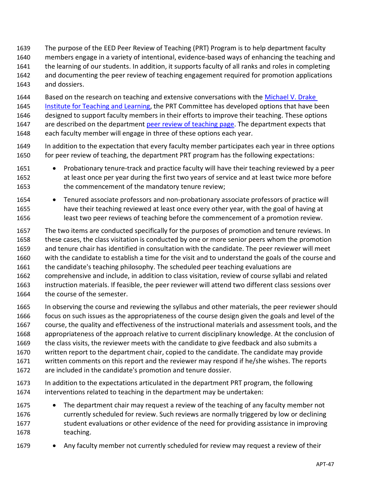- The purpose of the EED Peer Review of Teaching (PRT) Program is to help department faculty members engage in a variety of intentional, evidence-based ways of enhancing the teaching and the learning of our students. In addition, it supports faculty of all ranks and roles in completing and documenting the peer review of teaching engagement required for promotion applications and dossiers.
- 1644 Based on the research on teaching and extensive conversations with the Michael V. Drake [Institute for Teaching and Learning,](https://drakeinstitute.osu.edu/) the PRT Committee has developed options that have been designed to support faculty members in their efforts to improve their teaching. These options 1647 are described on the department [peer review of teaching page.](https://osu.instructure.com/courses/49408/pages/peer-review-of-teaching) The department expects that each faculty member will engage in three of these options each year.
- In addition to the expectation that every faculty member participates each year in three options 1650 for peer review of teaching, the department PRT program has the following expectations:
- Probationary tenure-track and practice faculty will have their teaching reviewed by a peer at least once per year during the first two years of service and at least twice more before the commencement of the mandatory tenure review;
- Tenured associate professors and non-probationary associate professors of practice will have their teaching reviewed at least once every other year, with the goal of having at least two peer reviews of teaching before the commencement of a promotion review.
- The two items are conducted specifically for the purposes of promotion and tenure reviews. In these cases, the class visitation is conducted by one or more senior peers whom the promotion and tenure chair has identified in consultation with the candidate. The peer reviewer will meet with the candidate to establish a time for the visit and to understand the goals of the course and the candidate's teaching philosophy. The scheduled peer teaching evaluations are comprehensive and include, in addition to class visitation, review of course syllabi and related instruction materials. If feasible, the peer reviewer will attend two different class sessions over 1664 the course of the semester.
- In observing the course and reviewing the syllabus and other materials, the peer reviewer should focus on such issues as the appropriateness of the course design given the goals and level of the course, the quality and effectiveness of the instructional materials and assessment tools, and the appropriateness of the approach relative to current disciplinary knowledge. At the conclusion of the class visits, the reviewer meets with the candidate to give feedback and also submits a written report to the department chair, copied to the candidate. The candidate may provide written comments on this report and the reviewer may respond if he/she wishes. The reports are included in the candidate's promotion and tenure dossier.
- In addition to the expectations articulated in the department PRT program, the following interventions related to teaching in the department may be undertaken:
- The department chair may request a review of the teaching of any faculty member not currently scheduled for review. Such reviews are normally triggered by low or declining 1677 student evaluations or other evidence of the need for providing assistance in improving teaching.
- 1679 Any faculty member not currently scheduled for review may request a review of their